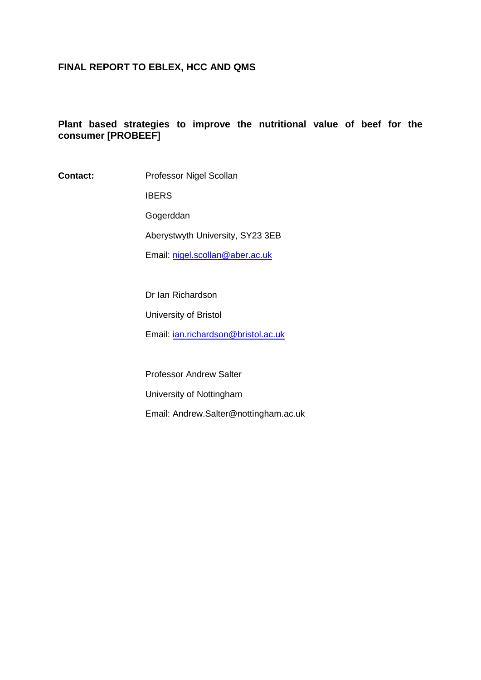## **FINAL REPORT TO EBLEX, HCC AND QMS**

# **Plant based strategies to improve the nutritional value of beef for the consumer [PROBEEF]**

**Contact:** Professor Nigel Scollan

IBERS Gogerddan Aberystwyth University, SY23 3EB Email: [nigel.scollan@aber.ac.uk](mailto:nigel.scollan@aber.ac.uk)

Dr Ian Richardson University of Bristol Email: [ian.richardson@bristol.ac.uk](mailto:ian.richardson@bristol.ac.uk)

Professor Andrew Salter University of Nottingham Email: Andrew.Salter@nottingham.ac.uk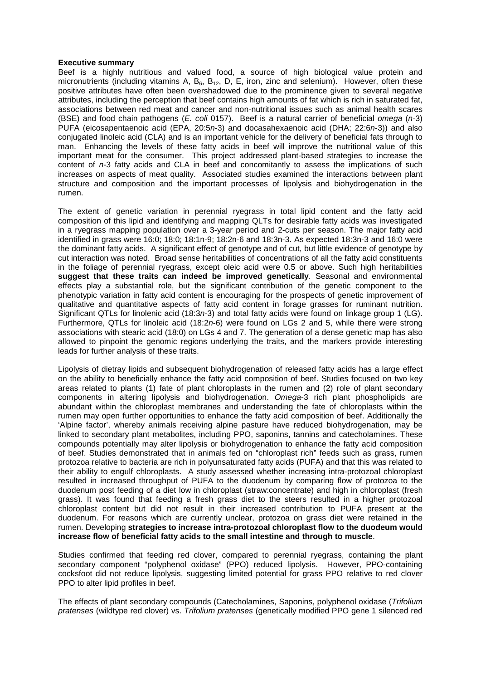#### **Executive summary**

Beef is a highly nutritious and valued food, a source of high biological value protein and micronutrients (including vitamins A,  $B_6$ ,  $B_{12}$ , D, E, iron, zinc and selenium). However, often these positive attributes have often been overshadowed due to the prominence given to several negative attributes, including the perception that beef contains high amounts of fat which is rich in saturated fat, associations between red meat and cancer and non-nutritional issues such as animal health scares (BSE) and food chain pathogens (*E. coli* 0157). Beef is a natural carrier of beneficial *omega* (*n*-3) PUFA (eicosapentaenoic acid (EPA, 20:5*n*-3) and docasahexaenoic acid (DHA; 22:6*n*-3)) and also conjugated linoleic acid (CLA) and is an important vehicle for the delivery of beneficial fats through to man. Enhancing the levels of these fatty acids in beef will improve the nutritional value of this important meat for the consumer. This project addressed plant-based strategies to increase the content of *n*-3 fatty acids and CLA in beef and concomitantly to assess the implications of such increases on aspects of meat quality. Associated studies examined the interactions between plant structure and composition and the important processes of lipolysis and biohydrogenation in the rumen.

The extent of genetic variation in perennial ryegrass in total lipid content and the fatty acid composition of this lipid and identifying and mapping QLTs for desirable fatty acids was investigated in a ryegrass mapping population over a 3-year period and 2-cuts per season. The major fatty acid identified in grass were 16:0; 18:0; 18:1n-9; 18:2n-6 and 18:3n-3. As expected 18:3n-3 and 16:0 were the dominant fatty acids. A significant effect of genotype and of cut, but little evidence of genotype by cut interaction was noted. Broad sense heritabilities of concentrations of all the fatty acid constituents in the foliage of perennial ryegrass, except oleic acid were 0.5 or above. Such high heritabilities **suggest that these traits can indeed be improved genetically**. Seasonal and environmental effects play a substantial role, but the significant contribution of the genetic component to the phenotypic variation in fatty acid content is encouraging for the prospects of genetic improvement of qualitative and quantitative aspects of fatty acid content in forage grasses for ruminant nutrition. Significant QTLs for linolenic acid (18:3*n*-3) and total fatty acids were found on linkage group 1 (LG). Furthermore, QTLs for linoleic acid (18:2*n*-6) were found on LGs 2 and 5, while there were strong associations with stearic acid (18:0) on LGs 4 and 7. The generation of a dense genetic map has also allowed to pinpoint the genomic regions underlying the traits, and the markers provide interesting leads for further analysis of these traits.

Lipolysis of dietray lipids and subsequent biohydrogenation of released fatty acids has a large effect on the ability to beneficially enhance the fatty acid composition of beef. Studies focused on two key areas related to plants (1) fate of plant chloroplasts in the rumen and (2) role of plant secondary components in altering lipolysis and biohydrogenation. *Omega*-3 rich plant phospholipids are abundant within the chloroplast membranes and understanding the fate of chloroplasts within the rumen may open further opportunities to enhance the fatty acid composition of beef. Additionally the 'Alpine factor', whereby animals receiving alpine pasture have reduced biohydrogenation, may be linked to secondary plant metabolites, including PPO, saponins, tannins and catecholamines. These compounds potentially may alter lipolysis or biohydrogenation to enhance the fatty acid composition of beef. Studies demonstrated that in animals fed on "chloroplast rich" feeds such as grass, rumen protozoa relative to bacteria are rich in polyunsaturated fatty acids (PUFA) and that this was related to their ability to engulf chloroplasts. A study assessed whether increasing intra-protozoal chloroplast resulted in increased throughput of PUFA to the duodenum by comparing flow of protozoa to the duodenum post feeding of a diet low in chloroplast (straw:concentrate) and high in chloroplast (fresh grass). It was found that feeding a fresh grass diet to the steers resulted in a higher protozoal chloroplast content but did not result in their increased contribution to PUFA present at the duodenum. For reasons which are currently unclear, protozoa on grass diet were retained in the rumen. Developing **strategies to increase intra-protozoal chloroplast flow to the duodeum would increase flow of beneficial fatty acids to the small intestine and through to muscle**.

Studies confirmed that feeding red clover, compared to perennial ryegrass, containing the plant secondary component "polyphenol oxidase" (PPO) reduced lipolysis. However, PPO-containing cocksfoot did not reduce lipolysis, suggesting limited potential for grass PPO relative to red clover PPO to alter lipid profiles in beef.

The effects of plant secondary compounds (Catecholamines, Saponins, polyphenol oxidase (*Trifolium pratenses* (wildtype red clover) vs. *Trifolium pratenses* (genetically modified PPO gene 1 silenced red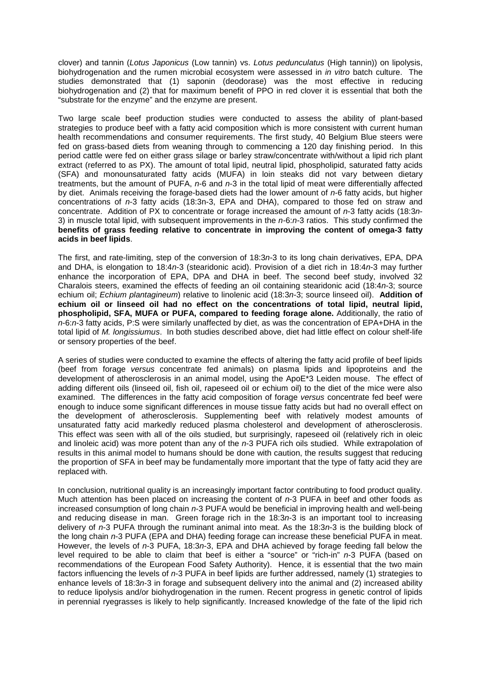clover) and tannin (*Lotus Japonicus* (Low tannin) vs. *Lotus pedunculatus* (High tannin)) on lipolysis, biohydrogenation and the rumen microbial ecosystem were assessed in *in vitro* batch culture. The studies demonstrated that (1) saponin (deodorase) was the most effective in reducing biohydrogenation and (2) that for maximum benefit of PPO in red clover it is essential that both the "substrate for the enzyme" and the enzyme are present.

Two large scale beef production studies were conducted to assess the ability of plant-based strategies to produce beef with a fatty acid composition which is more consistent with current human health recommendations and consumer requirements. The first study, 40 Belgium Blue steers were fed on grass-based diets from weaning through to commencing a 120 day finishing period. In this period cattle were fed on either grass silage or barley straw/concentrate with/without a lipid rich plant extract (referred to as PX). The amount of total lipid, neutral lipid, phospholipid, saturated fatty acids (SFA) and monounsaturated fatty acids (MUFA) in loin steaks did not vary between dietary treatments, but the amount of PUFA, *n*-6 and *n*-3 in the total lipid of meat were differentially affected by diet. Animals receiving the forage-based diets had the lower amount of *n*-6 fatty acids, but higher concentrations of *n*-3 fatty acids (18:3n-3, EPA and DHA), compared to those fed on straw and concentrate. Addition of PX to concentrate or forage increased the amount of *n*-3 fatty acids (18:3*n*-3) in muscle total lipid, with subsequent improvements in the *n-*6:*n-*3 ratios. This study confirmed the **benefits of grass feeding relative to concentrate in improving the content of omega-3 fatty acids in beef lipids**.

The first, and rate-limiting, step of the conversion of 18:3*n-*3 to its long chain derivatives, EPA, DPA and DHA, is elongation to 18:4*n*-3 (stearidonic acid). Provision of a diet rich in 18:4*n*-3 may further enhance the incorporation of EPA, DPA and DHA in beef. The second beef study, involved 32 Charalois steers, examined the effects of feeding an oil containing stearidonic acid (18:4*n*-3; source echium oil; *Echium plantagineum*) relative to linolenic acid (18:3*n*-3; source linseed oil). **Addition of echium oil or linseed oil had no effect on the concentrations of total lipid, neutral lipid, phospholipid, SFA, MUFA or PUFA, compared to feeding forage alone.** Additionally, the ratio of *n*-6:*n*-3 fatty acids, P:S were similarly unaffected by diet, as was the concentration of EPA+DHA in the total lipid of *M. longissiumus*. In both studies described above, diet had little effect on colour shelf-life or sensory properties of the beef.

A series of studies were conducted to examine the effects of altering the fatty acid profile of beef lipids (beef from forage *versus* concentrate fed animals) on plasma lipids and lipoproteins and the development of atherosclerosis in an animal model, using the ApoE<sup>\*3</sup> Leiden mouse. The effect of adding different oils (linseed oil, fish oil, rapeseed oil or echium oil) to the diet of the mice were also examined. The differences in the fatty acid composition of forage *versus* concentrate fed beef were enough to induce some significant differences in mouse tissue fatty acids but had no overall effect on the development of atherosclerosis. Supplementing beef with relatively modest amounts of unsaturated fatty acid markedly reduced plasma cholesterol and development of atherosclerosis. This effect was seen with all of the oils studied, but surprisingly, rapeseed oil (relatively rich in oleic and linoleic acid) was more potent than any of the *n*-3 PUFA rich oils studied. While extrapolation of results in this animal model to humans should be done with caution, the results suggest that reducing the proportion of SFA in beef may be fundamentally more important that the type of fatty acid they are replaced with.

In conclusion, nutritional quality is an increasingly important factor contributing to food product quality. Much attention has been placed on increasing the content of *n*-3 PUFA in beef and other foods as increased consumption of long chain *n*-3 PUFA would be beneficial in improving health and well-being and reducing disease in man. Green forage rich in the 18:3*n*-3 is an important tool to increasing delivery of *n*-3 PUFA through the ruminant animal into meat. As the 18:3*n*-3 is the building block of the long chain *n*-3 PUFA (EPA and DHA) feeding forage can increase these beneficial PUFA in meat. However, the levels of *n*-3 PUFA, 18:3*n*-3, EPA and DHA achieved by forage feeding fall below the level required to be able to claim that beef is either a "source" or "rich-in" *n*-3 PUFA (based on recommendations of the European Food Safety Authority). Hence, it is essential that the two main factors influencing the levels of *n*-3 PUFA in beef lipids are further addressed, namely (1) strategies to enhance levels of 18:3*n*-3 in forage and subsequent delivery into the animal and (2) increased ability to reduce lipolysis and/or biohydrogenation in the rumen. Recent progress in genetic control of lipids in perennial ryegrasses is likely to help significantly. Increased knowledge of the fate of the lipid rich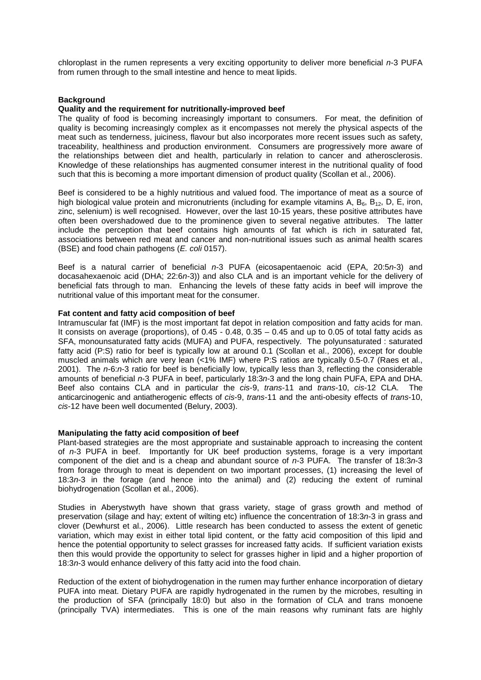chloroplast in the rumen represents a very exciting opportunity to deliver more beneficial *n*-3 PUFA from rumen through to the small intestine and hence to meat lipids.

#### **Background**

#### **Quality and the requirement for nutritionally-improved beef**

The quality of food is becoming increasingly important to consumers. For meat, the definition of quality is becoming increasingly complex as it encompasses not merely the physical aspects of the meat such as tenderness, juiciness, flavour but also incorporates more recent issues such as safety, traceability, healthiness and production environment. Consumers are progressively more aware of the relationships between diet and health, particularly in relation to cancer and atherosclerosis. Knowledge of these relationships has augmented consumer interest in the nutritional quality of food such that this is becoming a more important dimension of product quality (Scollan et al., 2006).

Beef is considered to be a highly nutritious and valued food. The importance of meat as a source of high biological value protein and micronutrients (including for example vitamins A,  $B_6$ ,  $B_{12}$ , D, E, iron, zinc, selenium) is well recognised. However, over the last 10-15 years, these positive attributes have often been overshadowed due to the prominence given to several negative attributes. The latter include the perception that beef contains high amounts of fat which is rich in saturated fat, associations between red meat and cancer and non-nutritional issues such as animal health scares (BSE) and food chain pathogens (*E. coli* 0157).

Beef is a natural carrier of beneficial *n*-3 PUFA (eicosapentaenoic acid (EPA, 20:5*n*-3) and docasahexaenoic acid (DHA; 22:6*n*-3)) and also CLA and is an important vehicle for the delivery of beneficial fats through to man. Enhancing the levels of these fatty acids in beef will improve the nutritional value of this important meat for the consumer.

## **Fat content and fatty acid composition of beef**

Intramuscular fat (IMF) is the most important fat depot in relation composition and fatty acids for man. It consists on average (proportions), of  $0.45 - 0.48$ ,  $0.35 - 0.45$  and up to 0.05 of total fatty acids as SFA, monounsaturated fatty acids (MUFA) and PUFA, respectively. The polyunsaturated : saturated fatty acid (P:S) ratio for beef is typically low at around 0.1 (Scollan et al., 2006), except for double muscled animals which are very lean (<1% IMF) where P:S ratios are typically 0.5-0.7 (Raes et al., 2001). The *n*-6:*n*-3 ratio for beef is beneficially low, typically less than 3, reflecting the considerable amounts of beneficial *n*-3 PUFA in beef, particularly 18:3*n-*3 and the long chain PUFA, EPA and DHA. Beef also contains CLA and in particular the *cis*-9, *trans*-11 and *trans*-10, *cis*-12 CLA. The anticarcinogenic and antiatherogenic effects of *cis*-9, *trans*-11 and the anti-obesity effects of *trans*-10, *cis*-12 have been well documented (Belury, 2003).

#### **Manipulating the fatty acid composition of beef**

Plant-based strategies are the most appropriate and sustainable approach to increasing the content of *n*-3 PUFA in beef. Importantly for UK beef production systems, forage is a very important component of the diet and is a cheap and abundant source of *n*-3 PUFA. The transfer of 18:3*n*-3 from forage through to meat is dependent on two important processes, (1) increasing the level of 18:3*n*-3 in the forage (and hence into the animal) and (2) reducing the extent of ruminal biohydrogenation (Scollan et al., 2006).

Studies in Aberystwyth have shown that grass variety, stage of grass growth and method of preservation (silage and hay; extent of wilting etc) influence the concentration of 18:3*n*-3 in grass and clover (Dewhurst et al., 2006). Little research has been conducted to assess the extent of genetic variation, which may exist in either total lipid content, or the fatty acid composition of this lipid and hence the potential opportunity to select grasses for increased fatty acids. If sufficient variation exists then this would provide the opportunity to select for grasses higher in lipid and a higher proportion of 18:3*n*-3 would enhance delivery of this fatty acid into the food chain.

Reduction of the extent of biohydrogenation in the rumen may further enhance incorporation of dietary PUFA into meat. Dietary PUFA are rapidly hydrogenated in the rumen by the microbes, resulting in the production of SFA (principally 18:0) but also in the formation of CLA and trans monoene (principally TVA) intermediates. This is one of the main reasons why ruminant fats are highly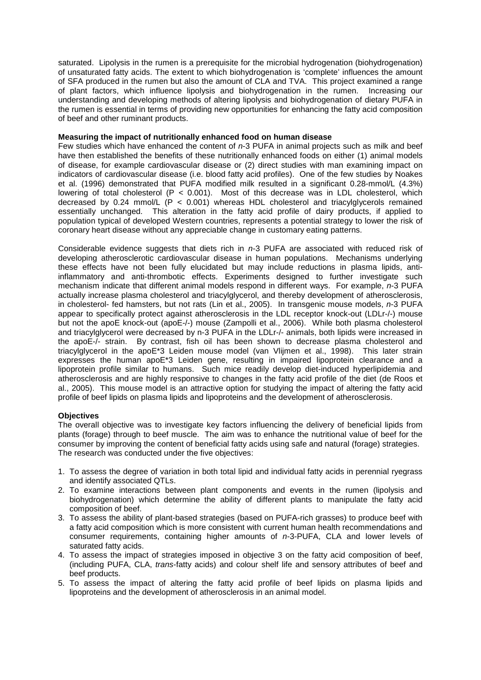saturated. Lipolysis in the rumen is a prerequisite for the microbial hydrogenation (biohydrogenation) of unsaturated fatty acids. The extent to which biohydrogenation is 'complete' influences the amount of SFA produced in the rumen but also the amount of CLA and TVA. This project examined a range of plant factors, which influence lipolysis and biohydrogenation in the rumen. Increasing our understanding and developing methods of altering lipolysis and biohydrogenation of dietary PUFA in the rumen is essential in terms of providing new opportunities for enhancing the fatty acid composition of beef and other ruminant products.

## **Measuring the impact of nutritionally enhanced food on human disease**

Few studies which have enhanced the content of *n*-3 PUFA in animal projects such as milk and beef have then established the benefits of these nutritionally enhanced foods on either (1) animal models of disease, for example cardiovascular disease or (2) direct studies with man examining impact on indicators of cardiovascular disease (i.e. blood fatty acid profiles). One of the few studies by Noakes et al. (1996) demonstrated that PUFA modified milk resulted in a significant 0.28-mmol/L (4.3%) lowering of total cholesterol  $(P < 0.001)$ . Most of this decrease was in LDL cholesterol, which decreased by 0.24 mmol/L  $(P < 0.001)$  whereas HDL cholesterol and triacylgiveerols remained essentially unchanged. This alteration in the fatty acid profile of dairy products, if applied to population typical of developed Western countries, represents a potential strategy to lower the risk of coronary heart disease without any appreciable change in customary eating patterns.

Considerable evidence suggests that diets rich in *n*-3 PUFA are associated with reduced risk of developing atherosclerotic cardiovascular disease in human populations. Mechanisms underlying these effects have not been fully elucidated but may include reductions in plasma lipids, antiinflammatory and anti-thrombotic effects. Experiments designed to further investigate such mechanism indicate that different animal models respond in different ways. For example, *n*-3 PUFA actually increase plasma cholesterol and triacylglycerol, and thereby development of atherosclerosis, in cholesterol- fed hamsters, but not rats (Lin et al., 2005). In transgenic mouse models, *n*-3 PUFA appear to specifically protect against atherosclerosis in the LDL receptor knock-out (LDLr-/-) mouse but not the apoE knock-out (apoE-/-) mouse (Zampolli et al., 2006). While both plasma cholesterol and triacylglycerol were decreased by n-3 PUFA in the LDLr-/- animals, both lipids were increased in the apoE-/- strain. By contrast, fish oil has been shown to decrease plasma cholesterol and triacylglycerol in the apoE\*3 Leiden mouse model (van Vlijmen et al., 1998). This later strain expresses the human apoE\*3 Leiden gene, resulting in impaired lipoprotein clearance and a lipoprotein profile similar to humans. Such mice readily develop diet-induced hyperlipidemia and atherosclerosis and are highly responsive to changes in the fatty acid profile of the diet (de Roos et al., 2005). This mouse model is an attractive option for studying the impact of altering the fatty acid profile of beef lipids on plasma lipids and lipoproteins and the development of atherosclerosis.

## **Objectives**

The overall objective was to investigate key factors influencing the delivery of beneficial lipids from plants (forage) through to beef muscle. The aim was to enhance the nutritional value of beef for the consumer by improving the content of beneficial fatty acids using safe and natural (forage) strategies. The research was conducted under the five objectives:

- 1. To assess the degree of variation in both total lipid and individual fatty acids in perennial ryegrass and identify associated QTLs.
- 2. To examine interactions between plant components and events in the rumen (lipolysis and biohydrogenation) which determine the ability of different plants to manipulate the fatty acid composition of beef.
- 3. To assess the ability of plant-based strategies (based on PUFA-rich grasses) to produce beef with a fatty acid composition which is more consistent with current human health recommendations and consumer requirements, containing higher amounts of *n*-3-PUFA, CLA and lower levels of saturated fatty acids.
- 4. To assess the impact of strategies imposed in objective 3 on the fatty acid composition of beef, (including PUFA, CLA, *trans*-fatty acids) and colour shelf life and sensory attributes of beef and beef products.
- 5. To assess the impact of altering the fatty acid profile of beef lipids on plasma lipids and lipoproteins and the development of atherosclerosis in an animal model.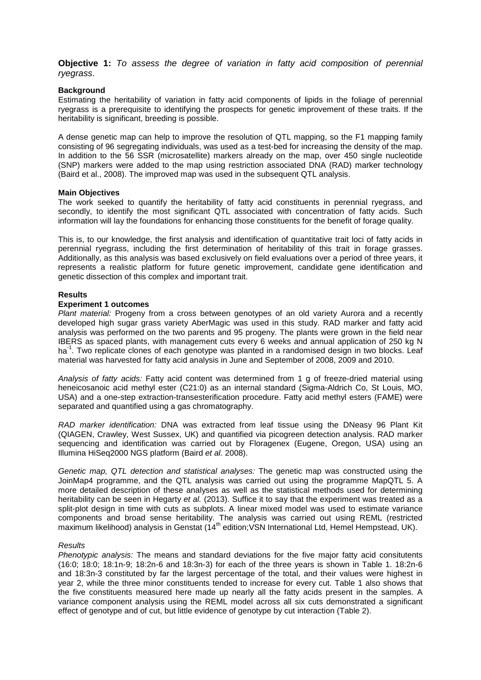**Objective 1:** *To assess the degree of variation in fatty acid composition of perennial ryegrass*.

#### **Background**

Estimating the heritability of variation in fatty acid components of lipids in the foliage of perennial ryegrass is a prerequisite to identifying the prospects for genetic improvement of these traits. If the heritability is significant, breeding is possible.

A dense genetic map can help to improve the resolution of QTL mapping, so the F1 mapping family consisting of 96 segregating individuals, was used as a test-bed for increasing the density of the map. In addition to the 56 SSR (microsatellite) markers already on the map, over 450 single nucleotide (SNP) markers were added to the map using restriction associated DNA (RAD) marker technology (Baird et al., 2008). The improved map was used in the subsequent QTL analysis.

#### **Main Objectives**

The work seeked to quantify the heritability of fatty acid constituents in perennial ryegrass, and secondly, to identify the most significant QTL associated with concentration of fatty acids. Such information will lay the foundations for enhancing those constituents for the benefit of forage quality.

This is, to our knowledge, the first analysis and identification of quantitative trait loci of fatty acids in perennial ryegrass, including the first determination of heritability of this trait in forage grasses. Additionally, as this analysis was based exclusively on field evaluations over a period of three years, it represents a realistic platform for future genetic improvement, candidate gene identification and genetic dissection of this complex and important trait.

#### **Results**

#### **Experiment 1 outcomes**

*Plant material:* Progeny from a cross between genotypes of an old variety Aurora and a recently developed high sugar grass variety AberMagic was used in this study. RAD marker and fatty acid analysis was performed on the two parents and 95 progeny. The plants were grown in the field near IBERS as spaced plants, with management cuts every 6 weeks and annual application of 250 kg N ha<sup>-1</sup>. Two replicate clones of each genotype was planted in a randomised design in two blocks. Leaf material was harvested for fatty acid analysis in June and September of 2008, 2009 and 2010.

*Analysis of fatty acids:* Fatty acid content was determined from 1 g of freeze-dried material using heneicosanoic acid methyl ester (C21:0) as an internal standard (Sigma-Aldrich Co, St Louis, MO, USA) and a one-step extraction-transesterification procedure. Fatty acid methyl esters (FAME) were separated and quantified using a gas chromatography.

*RAD marker identification:* DNA was extracted from leaf tissue using the DNeasy 96 Plant Kit (QIAGEN, Crawley, West Sussex, UK) and quantified via picogreen detection analysis. RAD marker sequencing and identification was carried out by Floragenex (Eugene, Oregon, USA) using an Illumina HiSeq2000 NGS platform (Baird *et al.* 2008).

*Genetic map, QTL detection and statistical analyses:* The genetic map was constructed using the JoinMap4 programme, and the QTL analysis was carried out using the programme MapQTL 5. A more detailed description of these analyses as well as the statistical methods used for determining heritability can be seen in Hegarty *et al.* (2013). Suffice it to say that the experiment was treated as a split-plot design in time with cuts as subplots. A linear mixed model was used to estimate variance components and broad sense heritability. The analysis was carried out using REML (restricted maximum likelihood) analysis in Genstat (14<sup>th</sup> edition; VSN International Ltd, Hemel Hempstead, UK).

#### *Results*

*Phenotypic analysis:* The means and standard deviations for the five major fatty acid consitutents (16:0; 18:0; 18:1n-9; 18:2n-6 and 18:3n-3) for each of the three years is shown in Table 1. 18:2n-6 and 18:3n-3 constituted by far the largest percentage of the total, and their values were highest in year 2, while the three minor constituents tended to increase for every cut. Table 1 also shows that the five constituents measured here made up nearly all the fatty acids present in the samples. A variance component analysis using the REML model across all six cuts demonstrated a significant effect of genotype and of cut, but little evidence of genotype by cut interaction (Table 2).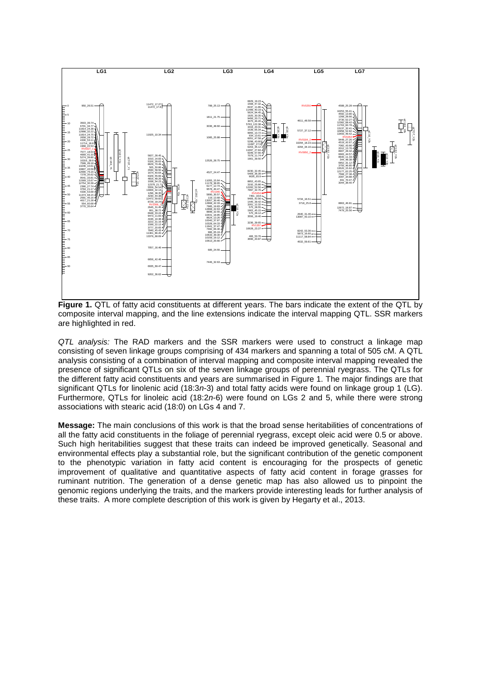

Figure 1. QTL of fatty acid constituents at different years. The bars indicate the extent of the QTL by composite interval mapping, and the line extensions indicate the interval mapping QTL. SSR markers are highlighted in red.

*QTL analysis:* The RAD markers and the SSR markers were used to construct a linkage map consisting of seven linkage groups comprising of 434 markers and spanning a total of 505 cM. A QTL analysis consisting of a combination of interval mapping and composite interval mapping revealed the presence of significant QTLs on six of the seven linkage groups of perennial ryegrass. The QTLs for the different fatty acid constituents and years are summarised in Figure 1. The major findings are that significant QTLs for linolenic acid (18:3*n*-3) and total fatty acids were found on linkage group 1 (LG). Furthermore, QTLs for linoleic acid (18:2*n*-6) were found on LGs 2 and 5, while there were strong associations with stearic acid (18:0) on LGs 4 and 7.

**Message:** The main conclusions of this work is that the broad sense heritabilities of concentrations of all the fatty acid constituents in the foliage of perennial ryegrass, except oleic acid were 0.5 or above. Such high heritabilities suggest that these traits can indeed be improved genetically. Seasonal and environmental effects play a substantial role, but the significant contribution of the genetic component to the phenotypic variation in fatty acid content is encouraging for the prospects of genetic improvement of qualitative and quantitative aspects of fatty acid content in forage grasses for ruminant nutrition. The generation of a dense genetic map has also allowed us to pinpoint the genomic regions underlying the traits, and the markers provide interesting leads for further analysis of these traits. A more complete description of this work is given by Hegarty et al., 2013.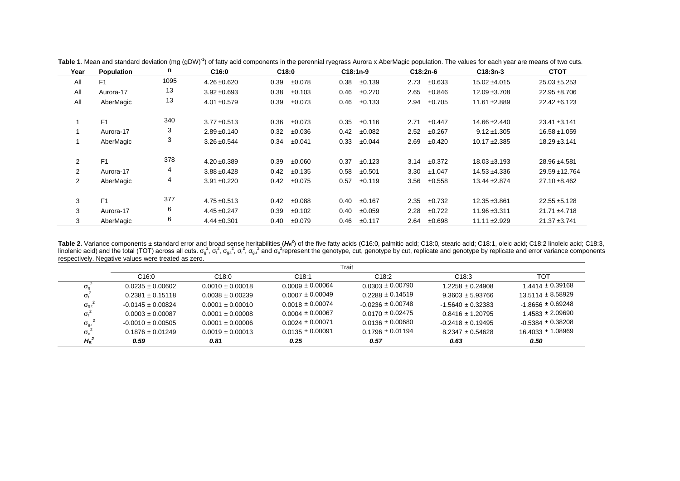| Year                 | <b>Population</b> | n    | C16:0            | C18:0          | C18:1n-9            | C18:2n-6       | $C18:3n-3$        | <b>CTOT</b>       |
|----------------------|-------------------|------|------------------|----------------|---------------------|----------------|-------------------|-------------------|
| All                  | F <sub>1</sub>    | 1095 | $4.26 \pm 0.620$ | ±0.078<br>0.39 | ±0.139<br>0.38      | 2.73<br>±0.633 | $15.02 \pm 4.015$ | $25.03 + 5.253$   |
| All                  | Aurora-17         | 13   | $3.92 + 0.693$   | 0.38<br>±0.103 | 0.46<br>±0.270      | 2.65<br>±0.846 | $12.09 \pm 3.708$ | $22.95 + 8.706$   |
| All                  | AberMagic         | 13   | $4.01 + 0.579$   | 0.39<br>±0.073 | 0.46<br>±0.133      | ±0.705<br>2.94 | $11.61 + 2.889$   | $22.42 \pm 6.123$ |
|                      | F <sub>1</sub>    | 340  | $3.77 \pm 0.513$ | 0.36<br>±0.073 | 0.35<br>±0.116      | 2.71<br>±0.447 | $14.66 \pm 2.440$ | $23.41 \pm 3.141$ |
|                      | Aurora-17         | 3    | $2.89 + 0.140$   | 0.32<br>±0.036 | 0.42<br>±0.082      | 2.52<br>±0.267 | $9.12 \pm 1.305$  | $16.58 \pm 1.059$ |
|                      | AberMagic         | 3    | $3.26 \pm 0.544$ | 0.34<br>±0.041 | 0.33<br>±0.044      | 2.69<br>±0.420 | $10.17 \pm 2.385$ | $18.29 \pm 3.141$ |
| $\overline{2}$       | F <sub>1</sub>    | 378  | $4.20 \pm 0.389$ | 0.39<br>±0.060 | 0.37<br>±0.123      | ±0.372<br>3.14 | $18.03 \pm 3.193$ | 28.96 ±4.581      |
| $\mathbf{2}^{\circ}$ | Aurora-17         | 4    | $3.88 + 0.428$   | 0.42<br>±0.135 | 0.58<br>±0.501      | 3.30<br>±1.047 | $14.53 + 4.336$   | 29.59 ±12.764     |
| $\overline{2}$       | AberMagic         | 4    | $3.91 \pm 0.220$ | ±0.075<br>0.42 | 0.57<br>±0.119      | 3.56<br>±0.558 | $13.44 \pm 2.874$ | $27.10 \pm 8.462$ |
| 3                    | F1                | 377  | $4.75 + 0.513$   | 0.42<br>±0.088 | 0.40<br>±0.167      | 2.35<br>±0.732 | $12.35 + 3.861$   | $22.55 \pm 5.128$ |
| 3                    | Aurora-17         | 6    | $4.45 \pm 0.247$ | 0.39<br>±0.102 | 0.40<br>$\pm 0.059$ | 2.28<br>±0.722 | $11.96 \pm 3.311$ | $21.71 + 4.718$   |
| 3                    | AberMagic         | 6    | $4.44 \pm 0.301$ | 0.40<br>±0.079 | 0.46<br>±0.117      | ±0.698<br>2.64 | $11.11 \pm 2.929$ | $21.37 + 3.741$   |

Table 1. Mean and standard deviation (mg (gDW)<sup>-1</sup>) of fatty acid components in the perennial ryegrass Aurora x AberMagic population. The values for each year are means of two cuts.

Table 2. Variance components ± standard error and broad sense heritabilities ( $H_B^2$ ) of the five fatty acids (C16:0, palmitic acid; C18:0, stearic acid; C18:1, oleic acid; C18:2 linoleic acid; C18:3, linolenic acid) and the total (TOT) across all cuts.  $\sigma_{\rm g}^2$ ,  $\sigma_{\rm g}^2$ ,  $\sigma_{\rm g}^2$ ,  $\sigma_{\rm g}^2$ ,  $\sigma_{\rm g}^2$ ,  $\sigma_{\rm g}^2$ ,  $\sigma_{\rm g}^2$ ,  $\sigma_{\rm g}^2$ ,  $\sigma_{\rm g}^2$ ,  $\sigma_{\rm g}^2$ , and  $\sigma_{\rm g}^2$  represent the genotype respectively. Negative values were treated as zero.

|                                                    |                       |                      |                      | Trait                 |                       |                       |
|----------------------------------------------------|-----------------------|----------------------|----------------------|-----------------------|-----------------------|-----------------------|
|                                                    | C <sub>16:0</sub>     | C <sub>18:0</sub>    | C18:1                | C18:2                 | C18:3                 | тот                   |
| $\sigma_{\alpha}$ <sup><math>\epsilon</math></sup> | $0.0235 \pm 0.00602$  | $0.0010 \pm 0.00018$ | $0.0009 \pm 0.00064$ | $0.0303 \pm 0.00790$  | 1.2258 ± 0.24908      | $1.4414 \pm 0.39168$  |
| $\sigma_{t}$                                       | $0.2381 \pm 0.15118$  | $0.0038 \pm 0.00239$ | $0.0007 \pm 0.00049$ | $0.2288 \pm 0.14519$  | $9.3603 + 5.93766$    | $13.5114 \pm 8.58929$ |
| $\sigma_{gt}$                                      | $-0.0145 \pm 0.00824$ | $0.0001 \pm 0.00010$ | $0.0018 \pm 0.00074$ | $-0.0236 \pm 0.00748$ | $-1.5640 \pm 0.32383$ | $-1.8656 \pm 0.69248$ |
| $\sigma_{\rm r}$                                   | $0.0003 \pm 0.00087$  | $0.0001 + 0.00008$   | $0.0004 \pm 0.00067$ | $0.0170 \pm 0.02475$  | $0.8416 \pm 1.20795$  | $1.4583 \pm 2.09690$  |
| $\sigma_{\rm g,r}^2$                               | $-0.0010 \pm 0.00505$ | $0.0001 + 0.00006$   | $0.0024 \pm 0.00071$ | $0.0136 \pm 0.00680$  | $-0.2418 \pm 0.19495$ | $-0.5384 \pm 0.38208$ |
| $\sigma_e^2$                                       | $0.1876 \pm 0.01249$  | $0.0019 \pm 0.00013$ | $0.0135 \pm 0.00091$ | $0.1796 \pm 0.01194$  | $8.2347 \pm 0.54628$  | 16.4033 ± 1.08969     |
| $H_{\rm B}^2$                                      | 0.59                  | 0.81                 | 0.25                 | 0.57                  | 0.63                  | 0.50                  |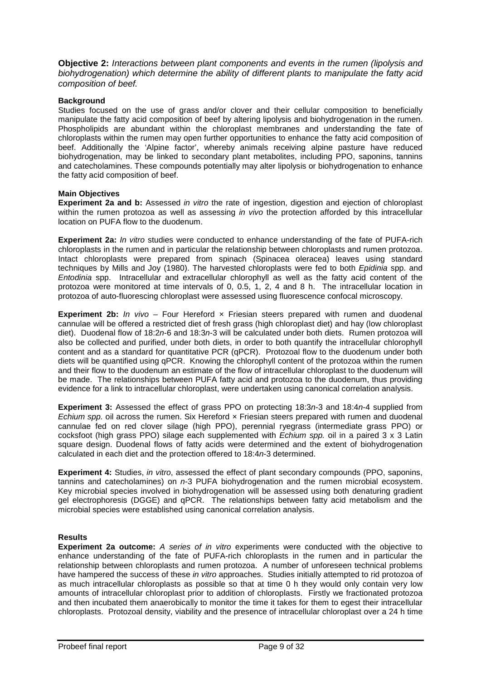**Objective 2:** *Interactions between plant components and events in the rumen (lipolysis and biohydrogenation) which determine the ability of different plants to manipulate the fatty acid composition of beef.*

## **Background**

Studies focused on the use of grass and/or clover and their cellular composition to beneficially manipulate the fatty acid composition of beef by altering lipolysis and biohydrogenation in the rumen. Phospholipids are abundant within the chloroplast membranes and understanding the fate of chloroplasts within the rumen may open further opportunities to enhance the fatty acid composition of beef. Additionally the 'Alpine factor', whereby animals receiving alpine pasture have reduced biohydrogenation, may be linked to secondary plant metabolites, including PPO, saponins, tannins and catecholamines. These compounds potentially may alter lipolysis or biohydrogenation to enhance the fatty acid composition of beef.

#### **Main Objectives**

**Experiment 2a and b:** Assessed *in vitro* the rate of ingestion, digestion and ejection of chloroplast within the rumen protozoa as well as assessing *in vivo* the protection afforded by this intracellular location on PUFA flow to the duodenum.

**Experiment 2a:** *In vitro* studies were conducted to enhance understanding of the fate of PUFA-rich chloroplasts in the rumen and in particular the relationship between chloroplasts and rumen protozoa. Intact chloroplasts were prepared from spinach (Spinacea oleracea) leaves using standard techniques by Mills and Joy (1980). The harvested chloroplasts were fed to both *Epidinia* spp. and *Entodinia* spp. Intracellular and extracellular chlorophyll as well as the fatty acid content of the protozoa were monitored at time intervals of 0, 0.5, 1, 2, 4 and 8 h. The intracellular location in protozoa of auto-fluorescing chloroplast were assessed using fluorescence confocal microscopy.

**Experiment 2b:** *In vivo* – Four Hereford x Friesian steers prepared with rumen and duodenal cannulae will be offered a restricted diet of fresh grass (high chloroplast diet) and hay (low chloroplast diet). Duodenal flow of 18:2*n*-6 and 18:3*n*-3 will be calculated under both diets. Rumen protozoa will also be collected and purified, under both diets, in order to both quantify the intracellular chlorophyll content and as a standard for quantitative PCR (qPCR). Protozoal flow to the duodenum under both diets will be quantified using qPCR. Knowing the chlorophyll content of the protozoa within the rumen and their flow to the duodenum an estimate of the flow of intracellular chloroplast to the duodenum will be made. The relationships between PUFA fatty acid and protozoa to the duodenum, thus providing evidence for a link to intracellular chloroplast, were undertaken using canonical correlation analysis.

**Experiment 3:** Assessed the effect of grass PPO on protecting 18:3*n*-3 and 18:4*n*-4 supplied from *Echium spp.* oil across the rumen. Six Hereford x Friesian steers prepared with rumen and duodenal cannulae fed on red clover silage (high PPO), perennial ryegrass (intermediate grass PPO) or cocksfoot (high grass PPO) silage each supplemented with *Echium spp.* oil in a paired 3 x 3 Latin square design. Duodenal flows of fatty acids were determined and the extent of biohydrogenation calculated in each diet and the protection offered to 18:4*n*-3 determined.

**Experiment 4:** Studies, *in vitro*, assessed the effect of plant secondary compounds (PPO, saponins, tannins and catecholamines) on *n*-3 PUFA biohydrogenation and the rumen microbial ecosystem. Key microbial species involved in biohydrogenation will be assessed using both denaturing gradient gel electrophoresis (DGGE) and qPCR. The relationships between fatty acid metabolism and the microbial species were established using canonical correlation analysis.

## **Results**

**Experiment 2a outcome:** *A series of in vitro* experiments were conducted with the objective to enhance understanding of the fate of PUFA-rich chloroplasts in the rumen and in particular the relationship between chloroplasts and rumen protozoa. A number of unforeseen technical problems have hampered the success of these *in vitro* approaches. Studies initially attempted to rid protozoa of as much intracellular chloroplasts as possible so that at time 0 h they would only contain very low amounts of intracellular chloroplast prior to addition of chloroplasts. Firstly we fractionated protozoa and then incubated them anaerobically to monitor the time it takes for them to egest their intracellular chloroplasts. Protozoal density, viability and the presence of intracellular chloroplast over a 24 h time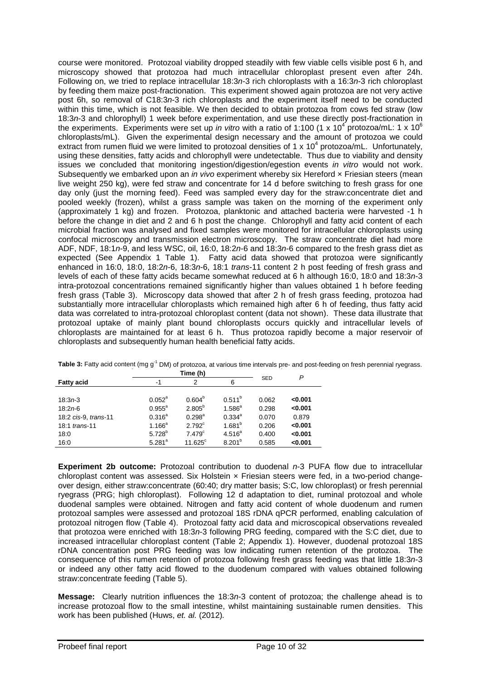course were monitored. Protozoal viability dropped steadily with few viable cells visible post 6 h, and microscopy showed that protozoa had much intracellular chloroplast present even after 24h. Following on, we tried to replace intracellular 18:3*n*-3 rich chloroplasts with a 16:3*n*-3 rich chloroplast by feeding them maize post-fractionation. This experiment showed again protozoa are not very active post 6h, so removal of C18:3*n*-3 rich chloroplasts and the experiment itself need to be conducted within this time, which is not feasible. We then decided to obtain protozoa from cows fed straw (low 18:3*n*-3 and chlorophyll) 1 week before experimentation, and use these directly post-fractionation in the experiments. Experiments were set up *in vitro* with a ratio of 1:100 (1 x 10<sup>4</sup> protozoa/mL: 1 x 10<sup>6</sup> chloroplasts/mL). Given the experimental design necessary and the amount of protozoa we could extract from rumen fluid we were limited to protozoal densities of 1 x 10<sup>4</sup> protozoa/mL. Unfortunately, using these densities, fatty acids and chlorophyll were undetectable. Thus due to viability and density issues we concluded that monitoring ingestion/digestion/egestion events *in vitro* would not work. Subsequently we embarked upon an *in vivo* experiment whereby six Hereford x Friesian steers (mean live weight 250 kg), were fed straw and concentrate for 14 d before switching to fresh grass for one day only (just the morning feed). Feed was sampled every day for the straw:concentrate diet and pooled weekly (frozen), whilst a grass sample was taken on the morning of the experiment only (approximately 1 kg) and frozen. Protozoa, planktonic and attached bacteria were harvested -1 h before the change in diet and 2 and 6 h post the change. Chlorophyll and fatty acid content of each microbial fraction was analysed and fixed samples were monitored for intracellular chloroplasts using confocal microscopy and transmission electron microscopy. The straw concentrate diet had more ADF, NDF, 18:1*n*-9, and less WSC, oil, 16:0, 18:2*n*-6 and 18:3*n*-6 compared to the fresh grass diet as expected (See Appendix 1 Table 1). Fatty acid data showed that protozoa were significantly enhanced in 16:0, 18:0, 18:2*n*-6, 18:3*n*-6, 18:1 *trans*-11 content 2 h post feeding of fresh grass and levels of each of these fatty acids became somewhat reduced at 6 h although 16:0, 18:0 and 18:3*n*-3 intra-protozoal concentrations remained significantly higher than values obtained 1 h before feeding fresh grass (Table 3). Microscopy data showed that after 2 h of fresh grass feeding, protozoa had substantially more intracellular chloroplasts which remained high after 6 h of feeding, thus fatty acid data was correlated to intra-protozoal chloroplast content (data not shown). These data illustrate that protozoal uptake of mainly plant bound chloroplasts occurs quickly and intracellular levels of chloroplasts are maintained for at least 6 h. Thus protozoa rapidly become a major reservoir of chloroplasts and subsequently human health beneficial fatty acids.

|                      |                    | Time (h)           |                    | P          |         |
|----------------------|--------------------|--------------------|--------------------|------------|---------|
| <b>Fatty acid</b>    | -1                 | 2                  | 6                  | <b>SED</b> |         |
|                      |                    |                    |                    |            |         |
| $18:3n-3$            | $0.052^{\text{a}}$ | 0.604 <sup>b</sup> | $0.511^{b}$        | 0.062      | < 0.001 |
| $18:2n-6$            | $0.955^{\circ}$    | $2.805^{b}$        | $1.586^{a}$        | 0.298      | < 0.001 |
| 18:2 cis-9, trans-11 | $0.316^{a}$        | $0.298^{\text{a}}$ | $0.334^{a}$        | 0.070      | 0.879   |
| 18:1 trans-11        | $1.166^a$          | $2.792^{\circ}$    | $1.681^{b}$        | 0.206      | < 0.001 |
| 18:0                 | $5.728^{b}$        | 7.479 <sup>c</sup> | $4.516^{a}$        | 0.400      | < 0.001 |
| 16:0                 | $5.281^{a}$        | $11.625^{\circ}$   | 8.201 <sup>b</sup> | 0.585      | < 0.001 |

Table 3: Fatty acid content (mg g<sup>-1</sup> DM) of protozoa, at various time intervals pre- and post-feeding on fresh perennial ryegrass.

**Experiment 2b outcome:** Protozoal contribution to duodenal *n*-3 PUFA flow due to intracellular chloroplast content was assessed. Six Holstein × Friesian steers were fed, in a two-period changeover design, either straw:concentrate (60:40; dry matter basis; S:C, low chloroplast) or fresh perennial ryegrass (PRG; high chloroplast). Following 12 d adaptation to diet, ruminal protozoal and whole duodenal samples were obtained. Nitrogen and fatty acid content of whole duodenum and rumen protozoal samples were assessed and protozoal 18S rDNA qPCR performed, enabling calculation of protozoal nitrogen flow (Table 4). Protozoal fatty acid data and microscopical observations revealed that protozoa were enriched with 18:3*n*-3 following PRG feeding, compared with the S:C diet, due to increased intracellular chloroplast content (Table 2; Appendix 1). However, duodenal protozoal 18S rDNA concentration post PRG feeding was low indicating rumen retention of the protozoa. The consequence of this rumen retention of protozoa following fresh grass feeding was that little 18:3*n*-3 or indeed any other fatty acid flowed to the duodenum compared with values obtained following straw:concentrate feeding (Table 5).

**Message:** Clearly nutrition influences the 18:3*n*-3 content of protozoa; the challenge ahead is to increase protozoal flow to the small intestine, whilst maintaining sustainable rumen densities. This work has been published (Huws, *et. al.* (2012)*.*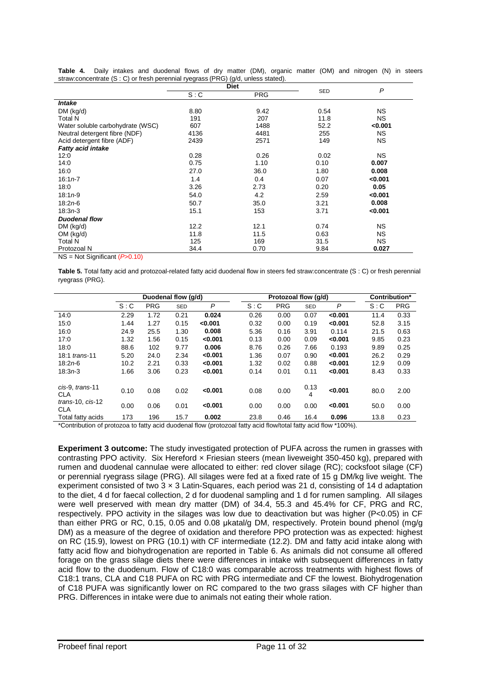| Table 4.                                                                               |  | Daily intakes and duodenal flows of dry matter (DM), organic matter (OM) and nitrogen (N) in steers |  |  |  |  |  |  |  |
|----------------------------------------------------------------------------------------|--|-----------------------------------------------------------------------------------------------------|--|--|--|--|--|--|--|
| straw: concentrate $(S : C)$ or fresh perennial ryegrass (PRG) $(g/d,$ unless stated). |  |                                                                                                     |  |  |  |  |  |  |  |

|                                                 | <b>Diet</b> |            |            |           |
|-------------------------------------------------|-------------|------------|------------|-----------|
|                                                 | S: C        | <b>PRG</b> | <b>SED</b> | P         |
| <i><b>Intake</b></i>                            |             |            |            |           |
| DM (kg/d)                                       | 8.80        | 9.42       | 0.54       | <b>NS</b> |
| <b>Total N</b>                                  | 191         | 207        | 11.8       | <b>NS</b> |
| Water soluble carbohydrate (WSC)                | 607         | 1488       | 52.2       | < 0.001   |
| Neutral detergent fibre (NDF)                   | 4136        | 4481       | 255        | NS.       |
| Acid detergent fibre (ADF)                      | 2439        | 2571       | 149        | <b>NS</b> |
| <b>Fatty acid intake</b>                        |             |            |            |           |
| 12:0                                            | 0.28        | 0.26       | 0.02       | NS.       |
| 14:0                                            | 0.75        | 1.10       | 0.10       | 0.007     |
| 16:0                                            | 27.0        | 36.0       | 1.80       | 0.008     |
| $16:1n-7$                                       | 1.4         | 0.4        | 0.07       | < 0.001   |
| 18:0                                            | 3.26        | 2.73       | 0.20       | 0.05      |
| $18:1n-9$                                       | 54.0        | 4.2        | 2.59       | < 0.001   |
| $18:2n-6$                                       | 50.7        | 35.0       | 3.21       | 0.008     |
| $18:3n-3$                                       | 15.1        | 153        | 3.71       | < 0.001   |
| <b>Duodenal flow</b>                            |             |            |            |           |
| DM (kg/d)                                       | 12.2        | 12.1       | 0.74       | <b>NS</b> |
| OM (kg/d)                                       | 11.8        | 11.5       | 0.63       | <b>NS</b> |
| <b>Total N</b>                                  | 125         | 169        | 31.5       | NS.       |
| Protozoal N                                     | 34.4        | 0.70       | 9.84       | 0.027     |
| $N$ C $N_{\text{old}}$ Cianificant $(D, 0, 40)$ |             |            |            |           |

NS = Not Significant (*P*>0.10)

**Table 5.** Total fatty acid and protozoal-related fatty acid duodenal flow in steers fed straw:concentrate (S : C) or fresh perennial ryegrass (PRG).

|                                     | Duodenal flow (g/d) |            |            |         |      | Protozoal flow (g/d) |            |         |      | Contribution* |  |
|-------------------------------------|---------------------|------------|------------|---------|------|----------------------|------------|---------|------|---------------|--|
|                                     | S: C                | <b>PRG</b> | <b>SED</b> | P       | S: C | <b>PRG</b>           | <b>SED</b> | P       | S: C | <b>PRG</b>    |  |
| 14:0                                | 2.29                | 1.72       | 0.21       | 0.024   | 0.26 | 0.00                 | 0.07       | < 0.001 | 11.4 | 0.33          |  |
| 15:0                                | 1.44                | 1.27       | 0.15       | < 0.001 | 0.32 | 0.00                 | 0.19       | < 0.001 | 52.8 | 3.15          |  |
| 16:0                                | 24.9                | 25.5       | 1.30       | 0.008   | 5.36 | 0.16                 | 3.91       | 0.114   | 21.5 | 0.63          |  |
| 17:0                                | 1.32                | 1.56       | 0.15       | < 0.001 | 0.13 | 0.00                 | 0.09       | < 0.001 | 9.85 | 0.23          |  |
| 18:0                                | 88.6                | 102        | 9.77       | 0.006   | 8.76 | 0.26                 | 7.66       | 0.193   | 9.89 | 0.25          |  |
| 18:1 trans-11                       | 5.20                | 24.0       | 2.34       | < 0.001 | 1.36 | 0.07                 | 0.90       | < 0.001 | 26.2 | 0.29          |  |
| $18:2n-6$                           | 10.2                | 2.21       | 0.33       | < 0.001 | 1.32 | 0.02                 | 0.88       | < 0.001 | 12.9 | 0.09          |  |
| $18:3n-3$                           | 1.66                | 3.06       | 0.23       | < 0.001 | 0.14 | 0.01                 | 0.11       | < 0.001 | 8.43 | 0.33          |  |
| cis-9, trans-11<br><b>CLA</b>       | 0.10                | 0.08       | 0.02       | < 0.001 | 0.08 | 0.00                 | 0.13<br>4  | < 0.001 | 80.0 | 2.00          |  |
| $trans-10$ , $cis-12$<br><b>CLA</b> | 0.00                | 0.06       | 0.01       | < 0.001 | 0.00 | 0.00                 | 0.00       | < 0.001 | 50.0 | 0.00          |  |
| Total fatty acids                   | 173                 | 196        | 15.7       | 0.002   | 23.8 | 0.46                 | 16.4       | 0.096   | 13.8 | 0.23          |  |

\*Contribution of protozoa to fatty acid duodenal flow (protozoal fatty acid flow/total fatty acid flow \*100%).

**Experiment 3 outcome:** The study investigated protection of PUFA across the rumen in grasses with contrasting PPO activity. Six Hereford x Friesian steers (mean liveweight 350-450 kg), prepared with rumen and duodenal cannulae were allocated to either: red clover silage (RC); cocksfoot silage (CF) or perennial ryegrass silage (PRG). All silages were fed at a fixed rate of 15 g DM/kg live weight. The experiment consisted of two 3 × 3 Latin-Squares, each period was 21 d, consisting of 14 d adaptation to the diet, 4 d for faecal collection, 2 d for duodenal sampling and 1 d for rumen sampling. All silages were well preserved with mean dry matter (DM) of 34.4, 55.3 and 45.4% for CF, PRG and RC, respectively. PPO activity in the silages was low due to deactivation but was higher (P<0.05) in CF than either PRG or RC, 0.15, 0.05 and 0.08 μkatal/g DM, respectively. Protein bound phenol (mg/g DM) as a measure of the degree of oxidation and therefore PPO protection was as expected: highest on RC (15.9), lowest on PRG (10.1) with CF intermediate (12.2). DM and fatty acid intake along with fatty acid flow and biohydrogenation are reported in Table 6. As animals did not consume all offered forage on the grass silage diets there were differences in intake with subsequent differences in fatty acid flow to the duodenum. Flow of C18:0 was comparable across treatments with highest flows of C18:1 trans, CLA and C18 PUFA on RC with PRG intermediate and CF the lowest. Biohydrogenation of C18 PUFA was significantly lower on RC compared to the two grass silages with CF higher than PRG. Differences in intake were due to animals not eating their whole ration.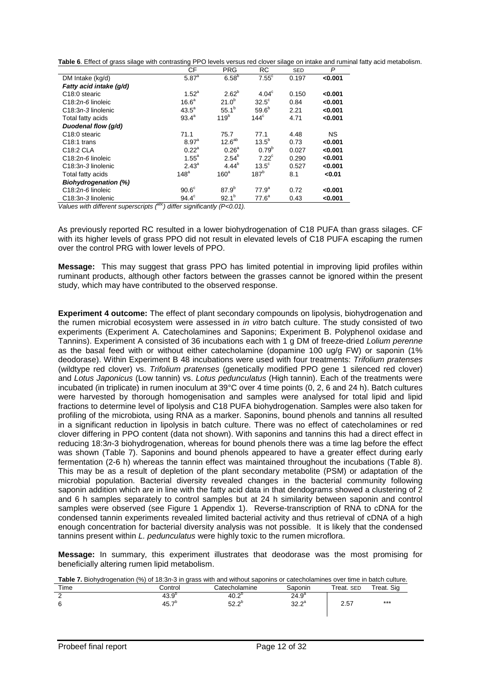| Table 6. Effect of grass silage with contrasting PPO levels versus red clover silage on intake and ruminal fatty acid metabolism. |  |
|-----------------------------------------------------------------------------------------------------------------------------------|--|
|-----------------------------------------------------------------------------------------------------------------------------------|--|

|                             | СF                | <b>PRG</b>        | RC                | <b>SED</b> | P         |
|-----------------------------|-------------------|-------------------|-------------------|------------|-----------|
| DM Intake (kg/d)            | $5.87^{a}$        | 6.58 <sup>b</sup> | $7.55^{\circ}$    | 0.197      | < 0.001   |
| Fatty acid intake (q/d)     |                   |                   |                   |            |           |
| C <sub>18</sub> :0 stearic  | $1.52^a$          | $2.62^{b}$        | $4.04^\circ$      | 0.150      | < 0.001   |
| $C18:2n-6$ linoleic         | 16.6 <sup>a</sup> | $21.0^{b}$        | $32.5^\circ$      | 0.84       | < 0.001   |
| $C18:3n-3$ linolenic        | $43.5^a$          | $55.1^{b}$        | 59.6 <sup>b</sup> | 2.21       | < 0.001   |
| Total fatty acids           | $93.4^{\circ}$    | 119 <sup>b</sup>  | $144^{\circ}$     | 4.71       | < 0.001   |
| Duodenal flow (g/d)         |                   |                   |                   |            |           |
| C <sub>18</sub> :0 stearic  | 71.1              | 75.7              | 77.1              | 4.48       | <b>NS</b> |
| C <sub>18:1</sub> trans     | 8.97 <sup>a</sup> | $12.6^{ab}$       | $13.5^{b}$        | 0.73       | < 0.001   |
| C18:2 CLA                   | $0.22^a$          | 0.26 <sup>a</sup> | $0.79^{b}$        | 0.027      | < 0.001   |
| $C18:2n-6$ linoleic         | $1.55^{\circ}$    | $2.54^{b}$        | $7.22^{\circ}$    | 0.290      | < 0.001   |
| $C18:3n-3$ linolenic        | $2.43^{\circ}$    | $4.44^{b}$        | $13.5^\circ$      | 0.527      | < 0.001   |
| Total fatty acids           | 148 <sup>a</sup>  | 160 <sup>a</sup>  | 187 <sup>b</sup>  | 8.1        | < 0.01    |
| <b>Biohydrogenation (%)</b> |                   |                   |                   |            |           |
| $C18:2n-6$ linoleic         | 90.6 <sup>c</sup> | 87.9 <sup>b</sup> | 77.9 <sup>a</sup> | 0.72       | < 0.001   |
| $C18:3n-3$ linolenic        | $94.4^\circ$      | $92.1^{b}$        | 77.6 <sup>a</sup> | 0.43       | < 0.001   |

*Values with different superscripts* (<sup>abc</sup>) differ significantly (P<0.01).

As previously reported RC resulted in a lower biohydrogenation of C18 PUFA than grass silages. CF with its higher levels of grass PPO did not result in elevated levels of C18 PUFA escaping the rumen over the control PRG with lower levels of PPO.

**Message:** This may suggest that grass PPO has limited potential in improving lipid profiles within ruminant products, although other factors between the grasses cannot be ignored within the present study, which may have contributed to the observed response.

**Experiment 4 outcome:** The effect of plant secondary compounds on lipolysis, biohydrogenation and the rumen microbial ecosystem were assessed in *in vitro* batch culture. The study consisted of two experiments (Experiment A. Catecholamines and Saponins; Experiment B. Polyphenol oxidase and Tannins). Experiment A consisted of 36 incubations each with 1 g DM of freeze-dried *Lolium perenne*  as the basal feed with or without either catecholamine (dopamine 100 ug/g FW) or saponin (1% deodorase). Within Experiment B 48 incubations were used with four treatments: *Trifolium pratenses*  (wildtype red clover) vs. *Trifolium pratenses* (genetically modified PPO gene 1 silenced red clover) and *Lotus Japonicus* (Low tannin) vs. *Lotus pedunculatus* (High tannin). Each of the treatments were incubated (in triplicate) in rumen inoculum at 39°C over 4 time points (0, 2, 6 and 24 h). Batch cultures were harvested by thorough homogenisation and samples were analysed for total lipid and lipid fractions to determine level of lipolysis and C18 PUFA biohydrogenation. Samples were also taken for profiling of the microbiota, using RNA as a marker. Saponins, bound phenols and tannins all resulted in a significant reduction in lipolysis in batch culture. There was no effect of catecholamines or red clover differing in PPO content (data not shown). With saponins and tannins this had a direct effect in reducing 18:3*n*-3 biohydrogenation, whereas for bound phenols there was a time lag before the effect was shown (Table 7). Saponins and bound phenols appeared to have a greater effect during early fermentation (2-6 h) whereas the tannin effect was maintained throughout the incubations (Table 8). This may be as a result of depletion of the plant secondary metabolite (PSM) or adaptation of the microbial population. Bacterial diversity revealed changes in the bacterial community following saponin addition which are in line with the fatty acid data in that dendograms showed a clustering of 2 and 6 h samples separately to control samples but at 24 h similarity between saponin and control samples were observed (see Figure 1 Appendix 1). Reverse-transcription of RNA to cDNA for the condensed tannin experiments revealed limited bacterial activity and thus retrieval of cDNA of a high enough concentration for bacterial diversity analysis was not possible. It is likely that the condensed tannins present within *L. pedunculatus* were highly toxic to the rumen microflora.

**Message:** In summary, this experiment illustrates that deodorase was the most promising for beneficially altering rumen lipid metabolism.

| <b>Table 7.</b> Biohydrogenation (%) of 18:3 <i>n</i> -3 in grass with and without saponins or catecholamines over time in batch culture. |                   |                |                |            |                        |
|-------------------------------------------------------------------------------------------------------------------------------------------|-------------------|----------------|----------------|------------|------------------------|
| Time                                                                                                                                      | Control           | Catecholamine  | Saponin        | Treat. SED | <sup>-</sup> reat. Sig |
|                                                                                                                                           | $43.9^{\circ}$    | $40.2^{\circ}$ | $24.9^{\circ}$ |            |                        |
|                                                                                                                                           | 45.7 <sup>b</sup> | $52.2^{b}$     | $32.2^a$       | 2.57       | $***$                  |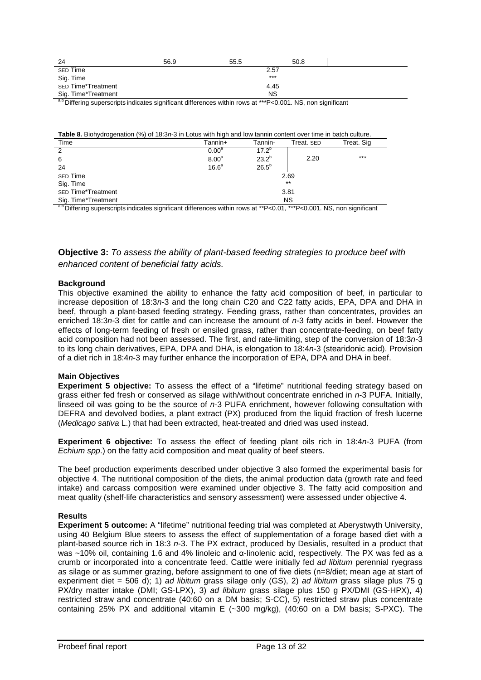| 24                         | 56.9 | 55.5 | 50.8  |  |
|----------------------------|------|------|-------|--|
| SED Time                   |      |      | 2.57  |  |
| Sig. Time                  |      |      | $***$ |  |
| <b>SED Time*Treatment</b>  |      |      | 4.45  |  |
| Sig. Time*Treatment<br>___ |      |      | NS    |  |

a,b Differing superscripts indicates significant differences within rows at \*\*\*P<0.001. NS, non significant

| Table 8. Biohydrogenation (%) of 18:3n-3 in Lotus with high and low tannin content over time in batch culture. |  |
|----------------------------------------------------------------------------------------------------------------|--|
|                                                                                                                |  |

| Time                                                                                                         | Tannin+           | Tannin-        | Treat. SED | Treat. Sig |
|--------------------------------------------------------------------------------------------------------------|-------------------|----------------|------------|------------|
| 2                                                                                                            | 0.00 <sup>a</sup> | $17.2^{\circ}$ |            |            |
| 6                                                                                                            | 8.00 <sup>a</sup> | $23.2^{b}$     | 2.20       | $***$      |
| 24                                                                                                           | 16.6 <sup>a</sup> | $26.5^b$       |            |            |
| <b>SED Time</b>                                                                                              |                   |                | 2.69       |            |
| Sig. Time                                                                                                    |                   |                | $***$      |            |
| <b>SED Time*Treatment</b>                                                                                    |                   |                | 3.81       |            |
| Sig. Time*Treatment                                                                                          |                   |                | <b>NS</b>  |            |
| $ab = ac$<br>$\cdot$<br>$\mathbf{r}$ and $\mathbf{r}$ and $\mathbf{r}$<br>$\sim$<br>$\overline{\phantom{a}}$ | $\cdots$          |                |            | $\cdot$    |

a,b Differing superscripts indicates significant differences within rows at \*\*P<0.01, \*\*\*P<0.001. NS, non significant

## **Objective 3:** *To assess the ability of plant-based feeding strategies to produce beef with enhanced content of beneficial fatty acids.*

#### **Background**

This objective examined the ability to enhance the fatty acid composition of beef, in particular to increase deposition of 18:3*n-*3 and the long chain C20 and C22 fatty acids, EPA, DPA and DHA in beef, through a plant-based feeding strategy. Feeding grass, rather than concentrates, provides an enriched 18:3*n-*3 diet for cattle and can increase the amount of *n-*3 fatty acids in beef. However the effects of long-term feeding of fresh or ensiled grass, rather than concentrate-feeding, on beef fatty acid composition had not been assessed. The first, and rate-limiting, step of the conversion of 18:3*n-*3 to its long chain derivatives, EPA, DPA and DHA, is elongation to 18:4*n*-3 (stearidonic acid). Provision of a diet rich in 18:4*n*-3 may further enhance the incorporation of EPA, DPA and DHA in beef.

#### **Main Objectives**

**Experiment 5 objective:** To assess the effect of a "lifetime" nutritional feeding strategy based on grass either fed fresh or conserved as silage with/without concentrate enriched in *n*-3 PUFA. Initially, linseed oil was going to be the source of *n*-3 PUFA enrichment, however following consultation with DEFRA and devolved bodies, a plant extract (PX) produced from the liquid fraction of fresh lucerne (*Medicago sativa* L.) that had been extracted, heat-treated and dried was used instead.

**Experiment 6 objective:** To assess the effect of feeding plant oils rich in 18:4*n*-3 PUFA (from *Echium spp*.) on the fatty acid composition and meat quality of beef steers.

The beef production experiments described under objective 3 also formed the experimental basis for objective 4. The nutritional composition of the diets, the animal production data (growth rate and feed intake) and carcass composition were examined under objective 3. The fatty acid composition and meat quality (shelf-life characteristics and sensory assessment) were assessed under objective 4.

#### **Results**

**Experiment 5 outcome:** A "lifetime" nutritional feeding trial was completed at Aberystwyth University, using 40 Belgium Blue steers to assess the effect of supplementation of a forage based diet with a plant-based source rich in 18:3 *n*-3. The PX extract, produced by Desialis, resulted in a product that was ~10% oil, containing 1.6 and 4% linoleic and α-linolenic acid, respectively. The PX was fed as a crumb or incorporated into a concentrate feed. Cattle were initially fed *ad libitum* perennial ryegrass as silage or as summer grazing, before assignment to one of five diets (n=8/diet; mean age at start of experiment diet = 506 d); 1) *ad libitum* grass silage only (GS), 2) *ad libitum* grass silage plus 75 g PX/dry matter intake (DMI; GS-LPX), 3) *ad libitum* grass silage plus 150 g PX/DMI (GS-HPX), 4) restricted straw and concentrate (40:60 on a DM basis; S-CC), 5) restricted straw plus concentrate containing 25% PX and additional vitamin E (~300 mg/kg), (40:60 on a DM basis; S-PXC). The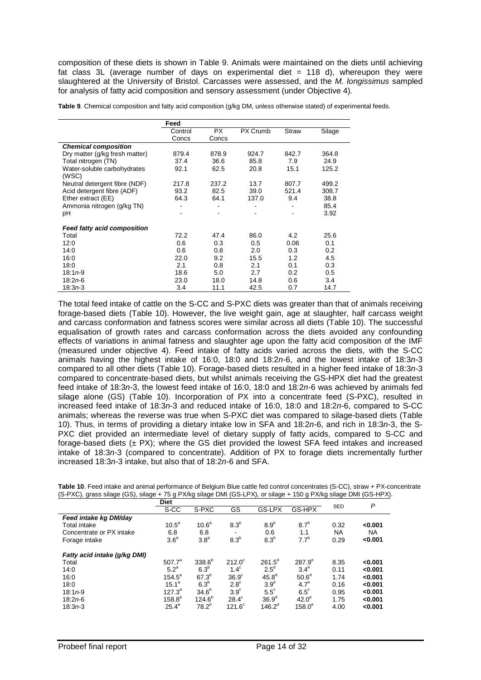composition of these diets is shown in Table 9. Animals were maintained on the diets until achieving fat class 3L (average number of days on experimental diet  $= 118$  d), whereupon they were slaughtered at the University of Bristol. Carcasses were assessed, and the *M. longissimus* sampled for analysis of fatty acid composition and sensory assessment (under Objective 4).

**Table 9**. Chemical composition and fatty acid composition (g/kg DM, unless otherwise stated) of experimental feeds.

|                                    | Feed    |       |          |       |        |
|------------------------------------|---------|-------|----------|-------|--------|
|                                    | Control | PX.   | PX Crumb | Straw | Silage |
|                                    | Concs   | Concs |          |       |        |
| <b>Chemical composition</b>        |         |       |          |       |        |
| Dry matter (g/kg fresh matter)     | 879.4   | 878.9 | 924.7    | 842.7 | 364.8  |
| Total nitrogen (TN)                | 37.4    | 36.6  | 85.8     | 7.9   | 24.9   |
| Water-soluble carbohydrates        | 92.1    | 62.5  | 20.8     | 15.1  | 125.2  |
| (WSC)                              |         |       |          |       |        |
| Neutral detergent fibre (NDF)      | 217.8   | 237.2 | 13.7     | 807.7 | 499.2  |
| Acid detergent fibre (ADF)         | 93.2    | 82.5  | 39.0     | 521.4 | 308.7  |
| Ether extract (EE)                 | 64.3    | 64.1  | 137.0    | 9.4   | 38.8   |
| Ammonia nitrogen (g/kg TN)         |         |       |          |       | 85.4   |
| pH                                 |         |       |          |       | 3.92   |
| <b>Feed fatty acid composition</b> |         |       |          |       |        |
| Total                              | 72.2    | 47.4  | 86.0     | 4.2   | 25.6   |
| 12:0                               | 0.6     | 0.3   | 0.5      | 0.06  | 0.1    |
| 14:0                               | 0.6     | 0.8   | 2.0      | 0.3   | 0.2    |
| 16:0                               | 22.0    | 9.2   | 15.5     | 1.2   | 4.5    |
| 18:0                               | 2.1     | 0.8   | 2.1      | 0.1   | 0.3    |
| $18:1n-9$                          | 18.6    | 5.0   | 2.7      | 0.2   | 0.5    |
| $18:2n-6$                          | 23.0    | 18.0  | 14.8     | 0.6   | 3.4    |
| 18:3 <i>n</i> 3                    | 3.4     | 11.1  | 42.5     | 0.7   | 14.7   |

The total feed intake of cattle on the S-CC and S-PXC diets was greater than that of animals receiving forage-based diets (Table 10). However, the live weight gain, age at slaughter, half carcass weight and carcass conformation and fatness scores were similar across all diets (Table 10). The successful equalisation of growth rates and carcass conformation across the diets avoided any confounding effects of variations in animal fatness and slaughter age upon the fatty acid composition of the IMF (measured under objective 4). Feed intake of fatty acids varied across the diets, with the S-CC animals having the highest intake of 16:0, 18:0 and 18:2*n-*6, and the lowest intake of 18:3*n-*3 compared to all other diets (Table 10). Forage-based diets resulted in a higher feed intake of 18:3*n-*3 compared to concentrate-based diets, but whilst animals receiving the GS-HPX diet had the greatest feed intake of 18:3*n-*3, the lowest feed intake of 16:0, 18:0 and 18:2*n-*6 was achieved by animals fed silage alone (GS) (Table 10). Incorporation of PX into a concentrate feed (S-PXC), resulted in increased feed intake of 18:3*n-*3 and reduced intake of 16:0, 18:0 and 18:2*n-*6, compared to S-CC animals; whereas the reverse was true when S-PXC diet was compared to silage-based diets (Table 10). Thus, in terms of providing a dietary intake low in SFA and 18:2*n-*6, and rich in 18:3*n-*3, the S-PXC diet provided an intermediate level of dietary supply of fatty acids, compared to S-CC and forage-based diets  $(\pm$  PX); where the GS diet provided the lowest SFA feed intakes and increased intake of 18:3*n-*3 (compared to concentrate). Addition of PX to forage diets incrementally further increased 18:3*n-*3 intake, but also that of 18:2*n-*6 and SFA.

|                                                                                                                   | Table 10. Feed intake and animal performance of Belgium Blue cattle fed control concentrates (S-CC), straw + PX-concentrate |
|-------------------------------------------------------------------------------------------------------------------|-----------------------------------------------------------------------------------------------------------------------------|
| (S-PXC), grass silage (GS), silage + 75 g PX/kg silage DMI (GS-LPX), or silage + 150 g PX/kg silage DMI (GS-HPX). |                                                                                                                             |

|                              | <b>Diet</b>       |                   |                  |                   |                    |            | P         |
|------------------------------|-------------------|-------------------|------------------|-------------------|--------------------|------------|-----------|
|                              | S-CC              | S-PXC             | GS               | GS-LPX            | GS-HPX             | <b>SED</b> |           |
| Feed intake kg DM/day        |                   |                   |                  |                   |                    |            |           |
| <b>Total intake</b>          | 10.5 <sup>a</sup> | 10.6 <sup>a</sup> | 8.3 <sup>b</sup> | 8.9 <sup>b</sup>  | 8.7 <sup>b</sup>   | 0.32       | < 0.001   |
| Concentrate or PX intake     | 6.8               | 6.8               |                  | 0.6               | 1.1                | <b>NA</b>  | <b>NA</b> |
| Forage intake                | 3.6 <sup>a</sup>  | 3.8 <sup>a</sup>  | 8.3 <sup>b</sup> | 8.3 <sup>b</sup>  | 7.7 <sup>b</sup>   | 0.29       | < 0.001   |
| Fatty acid intake (g/kg DMI) |                   |                   |                  |                   |                    |            |           |
| Total                        | $507.7^a$         | $338.6^{b}$       | $212.0^\circ$    | $261.5^{\circ}$   | 287.9 <sup>e</sup> | 8.35       | < 0.001   |
| 14:0                         | 5.2 <sup>a</sup>  | 6.3 <sup>b</sup>  | $1.4^\circ$      | $2.5^{\circ}$     | $3.4^\mathrm{e}$   | 0.11       | < 0.001   |
| 16:0                         | $154.5^{\circ}$   | $67.3^{b}$        | $36.9^\circ$     | 45.8 <sup>d</sup> | 50.6 <sup>d</sup>  | 1.74       | < 0.001   |
| 18:0                         | $15.1^a$          | 6.3 <sup>b</sup>  | $2.8^\circ$      | 3.9 <sup>d</sup>  | 4.7 <sup>e</sup>   | 0.16       | < 0.001   |
| $18:1n-9$                    | $127.3^a$         | $34.6^{b}$        | $3.9^\circ$      | $5.5^{\circ}$     | $6.5^{\circ}$      | 0.95       | < 0.001   |
| 18:2n6                       | $158.8^a$         | $124.6^{b}$       | $28.4^\circ$     | 36.9 <sup>d</sup> | 42.0 <sup>e</sup>  | 1.75       | < 0.001   |
| 18:3n3                       | $25.4^a$          | $78.2^{\circ}$    | $121.6^\circ$    | $146.2^{\circ}$   | $158.0^\circ$      | 4.00       | < 0.001   |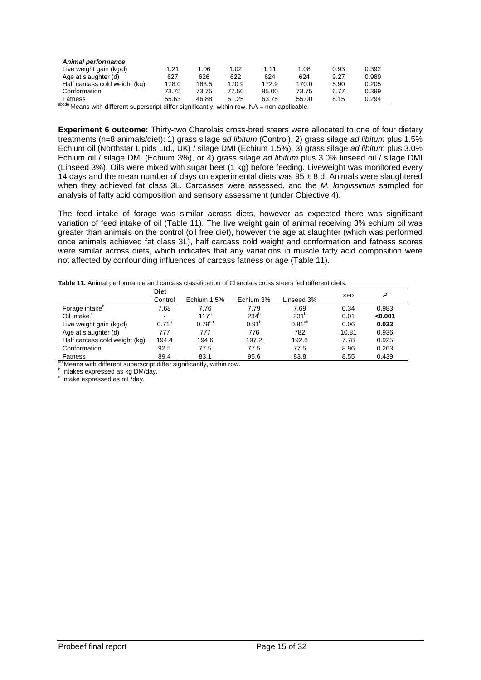| Animal performance            |       |       |       |       |       |      |       |
|-------------------------------|-------|-------|-------|-------|-------|------|-------|
| Live weight gain (kg/d)       | 1.21  | 1.06  | 1.02  | 1.11  | 1.08  | 0.93 | 0.392 |
| Age at slaughter (d)          | 627   | 626   | 622   | 624   | 624   | 9.27 | 0.989 |
| Half carcass cold weight (kg) | 178.0 | 163.5 | 170.9 | 172.9 | 170.0 | 5.90 | 0.205 |
| Conformation                  | 73.75 | 73.75 | 77.50 | 85.00 | 73.75 | 6.77 | 0.399 |
| Fatness                       | 55.63 | 46.88 | 61.25 | 63.75 | 55.00 | 8.15 | 0.294 |

 $a<sub>bcde</sub>$  Means with different superscript differ significantly, within row. NA = non-applicable.

**Experiment 6 outcome:** Thirty-two Charolais cross-bred steers were allocated to one of four dietary treatments (n=8 animals/diet): 1) grass silage *ad libitum* (Control), 2) grass silage *ad libitum* plus 1.5% Echium oil (Northstar Lipids Ltd., UK) / silage DMI (Echium 1.5%), 3) grass silage *ad libitum* plus 3.0% Echium oil / silage DMI (Echium 3%), or 4) grass silage *ad libitum* plus 3.0% linseed oil / silage DMI (Linseed 3%). Oils were mixed with sugar beet (1 kg) before feeding. Liveweight was monitored every 14 days and the mean number of days on experimental diets was  $95 \pm 8$  d. Animals were slaughtered when they achieved fat class 3L. Carcasses were assessed, and the *M. longissimus* sampled for analysis of fatty acid composition and sensory assessment (under Objective 4).

The feed intake of forage was similar across diets, however as expected there was significant variation of feed intake of oil (Table 11). The live weight gain of animal receiving 3% echium oil was greater than animals on the control (oil free diet), however the age at slaughter (which was performed once animals achieved fat class 3L), half carcass cold weight and conformation and fatness scores were similar across diets, which indicates that any variations in muscle fatty acid composition were not affected by confounding influences of carcass fatness or age (Table 11).

**Table 11.** Animal performance and carcass classification of Charolais cross steers fed different diets.

|                               | <b>Diet</b>       |                  |                   |                  |            | P       |
|-------------------------------|-------------------|------------------|-------------------|------------------|------------|---------|
|                               | Control           | Echium 1.5%      | Echium 3%         | Linseed 3%       | <b>SED</b> |         |
| Forage intake <sup>p</sup>    | 7.68              | 7.76             | 7.79              | 7.69             | 0.34       | 0.983   |
| Oil intake <sup>c</sup>       | ۰                 | 117 <sup>a</sup> | 234 <sup>b</sup>  | 231 <sup>b</sup> | 0.01       | < 0.001 |
| Live weight gain (kg/d)       | 0.71 <sup>a</sup> | $0.79^{ab}$      | 0.91 <sup>b</sup> | $0.81^{ab}$      | 0.06       | 0.033   |
| Age at slaughter (d)          | 777               | 777              | 776               | 782              | 10.81      | 0.936   |
| Half carcass cold weight (kg) | 194.4             | 194.6            | 197.2             | 192.8            | 7.78       | 0.925   |
| Conformation                  | 92.5              | 77.5             | 77.5              | 77.5             | 8.96       | 0.263   |
| <b>Fatness</b>                | 89.4              | 83.1             | 95.6              | 83.8             | 8.55       | 0.439   |

<sup>ab</sup> Means with different superscript differ significantly, within row.<br><sup>b</sup> Intakes expressed as kg DM/day.

b Intakes expressed as kg DM/day.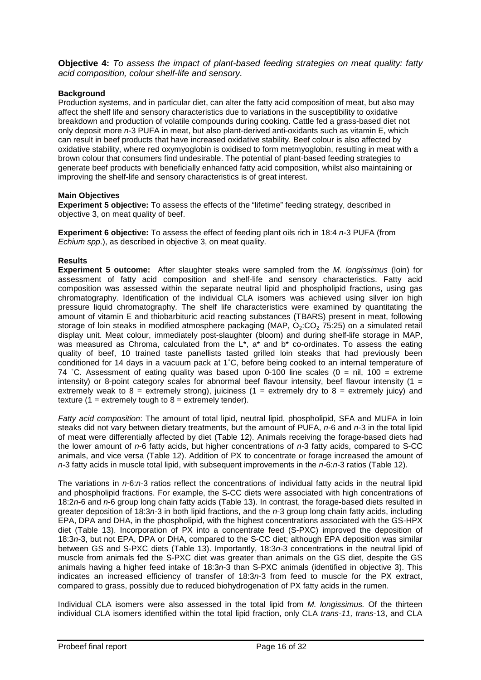**Objective 4:** *To assess the impact of plant-based feeding strategies on meat quality: fatty acid composition, colour shelf-life and sensory.*

## **Background**

Production systems, and in particular diet, can alter the fatty acid composition of meat, but also may affect the shelf life and sensory characteristics due to variations in the susceptibility to oxidative breakdown and production of volatile compounds during cooking. Cattle fed a grass-based diet not only deposit more *n*-3 PUFA in meat, but also plant-derived anti-oxidants such as vitamin E, which can result in beef products that have increased oxidative stability. Beef colour is also affected by oxidative stability, where red oxymyoglobin is oxidised to form metmyoglobin, resulting in meat with a brown colour that consumers find undesirable. The potential of plant-based feeding strategies to generate beef products with beneficially enhanced fatty acid composition, whilst also maintaining or improving the shelf-life and sensory characteristics is of great interest.

#### **Main Objectives**

**Experiment 5 objective:** To assess the effects of the "lifetime" feeding strategy, described in objective 3, on meat quality of beef.

**Experiment 6 objective:** To assess the effect of feeding plant oils rich in 18:4 *n*-3 PUFA (from *Echium spp*.), as described in objective 3, on meat quality.

#### **Results**

**Experiment 5 outcome:** After slaughter steaks were sampled from the *M. longissimus* (loin) for assessment of fatty acid composition and shelf-life and sensory characteristics. Fatty acid composition was assessed within the separate neutral lipid and phospholipid fractions, using gas chromatography. Identification of the individual CLA isomers was achieved using silver ion high pressure liquid chromatography. The shelf life characteristics were examined by quantitating the amount of vitamin E and thiobarbituric acid reacting substances (TBARS) present in meat, following storage of loin steaks in modified atmosphere packaging (MAP,  $O_2$ :CO<sub>2</sub> 75:25) on a simulated retail display unit. Meat colour, immediately post-slaughter (bloom) and during shelf-life storage in MAP, was measured as Chroma, calculated from the L<sup>\*</sup>, a<sup>\*</sup> and b<sup>\*</sup> co-ordinates. To assess the eating was measured as Chroma, calculated from the L<sup>\*</sup>, a<sup>\*</sup> and b<sup>\*</sup> co-ordinates. To assess the eating quality of beef. 10 trained taste panellists tasted grilled loin steaks that had previously been conditioned for 14 days in a vacuum pack at 1˚C, before being cooked to an internal temperature of 74 °C. Assessment of eating quality was based upon 0-100 line scales ( $0 = \text{nil}$ , 100 = extreme intensity) or 8-point category scales for abnormal beef flavour intensity, beef flavour intensity (1 = extremely weak to  $8 =$  extremely strong), juiciness (1 = extremely dry to  $8 =$  extremely juicy) and texture ( $1 =$  extremely tough to  $8 =$  extremely tender).

*Fatty acid composition*: The amount of total lipid, neutral lipid, phospholipid, SFA and MUFA in loin steaks did not vary between dietary treatments, but the amount of PUFA, *n*-6 and *n*-3 in the total lipid of meat were differentially affected by diet (Table 12). Animals receiving the forage-based diets had the lower amount of *n*-6 fatty acids, but higher concentrations of *n*-3 fatty acids, compared to S-CC animals, and vice versa (Table 12). Addition of PX to concentrate or forage increased the amount of *n*-3 fatty acids in muscle total lipid, with subsequent improvements in the *n-*6:*n-*3 ratios (Table 12).

The variations in *n-*6:*n-*3 ratios reflect the concentrations of individual fatty acids in the neutral lipid and phospholipid fractions. For example, the S-CC diets were associated with high concentrations of 18:2*n*-6 and *n*-6 group long chain fatty acids (Table 13). In contrast, the forage-based diets resulted in greater deposition of 18:3*n*-3 in both lipid fractions, and the *n*-3 group long chain fatty acids, including EPA, DPA and DHA, in the phospholipid, with the highest concentrations associated with the GS-HPX diet (Table 13). Incorporation of PX into a concentrate feed (S-PXC) improved the deposition of 18:3*n*-3, but not EPA, DPA or DHA, compared to the S-CC diet; although EPA deposition was similar between GS and S-PXC diets (Table 13). Importantly, 18:3*n*-3 concentrations in the neutral lipid of muscle from animals fed the S-PXC diet was greater than animals on the GS diet, despite the GS animals having a higher feed intake of 18:3*n*-3 than S-PXC animals (identified in objective 3). This indicates an increased efficiency of transfer of 18:3*n*-3 from feed to muscle for the PX extract, compared to grass, possibly due to reduced biohydrogenation of PX fatty acids in the rumen.

Individual CLA isomers were also assessed in the total lipid from *M. longissimus.* Of the thirteen individual CLA isomers identified within the total lipid fraction, only CLA *trans-11, trans*-13, and CLA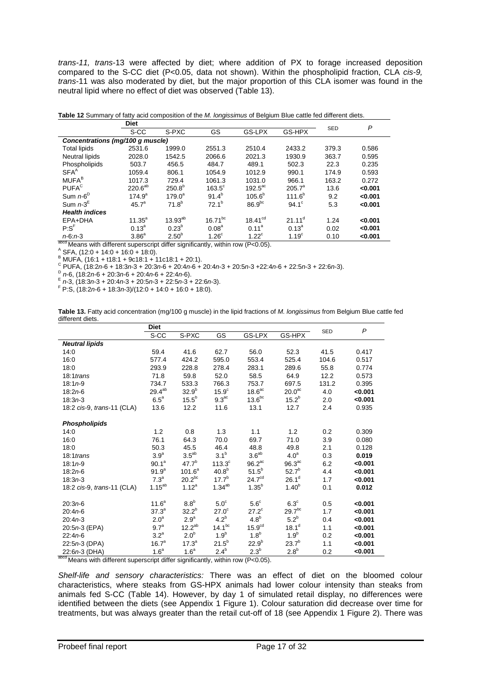*trans-11, trans*-13 were affected by diet; where addition of PX to forage increased deposition compared to the S-CC diet (P<0.05, data not shown). Within the phospholipid fraction, CLA *cis-9, trans*-11 was also moderated by diet, but the major proportion of this CLA isomer was found in the neutral lipid where no effect of diet was observed (Table 13).

| <b>Table 12</b> Summary of fatty acid composition of the <i>M. forigissimus</i> of Belgium Blue cattle fed unferent diets. |                   |                   |                   |                     |                   |            |         |
|----------------------------------------------------------------------------------------------------------------------------|-------------------|-------------------|-------------------|---------------------|-------------------|------------|---------|
|                                                                                                                            | <b>Diet</b>       |                   |                   |                     |                   | <b>SED</b> | P       |
|                                                                                                                            | S-CC              | S-PXC             | GS                | GS-LPX              | GS-HPX            |            |         |
| Concentrations (mg/100 g muscle)                                                                                           |                   |                   |                   |                     |                   |            |         |
| <b>Total lipids</b>                                                                                                        | 2531.6            | 1999.0            | 2551.3            | 2510.4              | 2433.2            | 379.3      | 0.586   |
| <b>Neutral lipids</b>                                                                                                      | 2028.0            | 1542.5            | 2066.6            | 2021.3              | 1930.9            | 363.7      | 0.595   |
| Phospholipids                                                                                                              | 503.7             | 456.5             | 484.7             | 489.1               | 502.3             | 22.3       | 0.235   |
| SFA <sup>A</sup>                                                                                                           | 1059.4            | 806.1             | 1054.9            | 1012.9              | 990.1             | 174.9      | 0.593   |
| MUFA <sup>B</sup>                                                                                                          | 1017.3            | 729.4             | 1061.3            | 1031.0              | 966.1             | 163.2      | 0.272   |
| <b>PUFA<sup>C</sup></b>                                                                                                    | $220.6^{ab}$      | $250.8^{b}$       | $163.5^\circ$     | $192.5^{\text{ac}}$ | $205.7^{\circ}$   | 13.6       | < 0.001 |
| Sum $n-6^D$                                                                                                                | $174.9^{a}$       | $179.0^a$         | $91.4^{b}$        | 105.6 <sup>b</sup>  | $111.6^{b}$       | 9.2        | < 0.001 |
| Sum $n-3^E$                                                                                                                | 45.7 <sup>a</sup> | $71.8^{b}$        | $72.1^b$          | 86.9 <sup>bc</sup>  | $94.1^{\circ}$    | 5.3        | < 0.001 |
| <b>Health indices</b>                                                                                                      |                   |                   |                   |                     |                   |            |         |
| EPA+DHA                                                                                                                    | $11.35^{a}$       | $13.93^{ab}$      | $16.71^{bc}$      | 18.41 <sup>cd</sup> | $21.11^d$         | 1.24       | < 0.001 |
| $P: S^F$                                                                                                                   | $0.13^{a}$        | $0.23^{b}$        | 0.08 <sup>a</sup> | 0.11 <sup>a</sup>   | $0.13^{a}$        | 0.02       | < 0.001 |
| $n-6: n-3$                                                                                                                 | 3.86 <sup>a</sup> | 2.50 <sup>b</sup> | 1.26 <sup>c</sup> | $1.22^{\circ}$      | 1.19 <sup>c</sup> | 0.10       | < 0.001 |

**Table 12** Summary of fatty acid composition of the *M. longissimus* of Belgium Blue cattle fed different diets.

**abod** Means with different superscript differ significantly, within row (P<0.05).<br>
A SFA, (12:0 + 14:0 + 16:0 + 18:0).<br>
B MUFA, (16:1 + 118:1 + 9c18:1 + 11c18:1 + 20:1).<br>
C PUFA, (18:2n-6 + 18:3n-3 + 20:3n-6 + 20:4n-6 +

**Table 13.** Fatty acid concentration (mg/100 g muscle) in the lipid fractions of *M. longissimus* from Belgium Blue cattle fed different diets.

|                                                                                                                                | <b>Diet</b>       |                   |                   |                      |                    | <b>SED</b> | P       |
|--------------------------------------------------------------------------------------------------------------------------------|-------------------|-------------------|-------------------|----------------------|--------------------|------------|---------|
|                                                                                                                                | S-CC              | S-PXC             | GS                | <b>GS-LPX</b>        | GS-HPX             |            |         |
| <b>Neutral lipids</b>                                                                                                          |                   |                   |                   |                      |                    |            |         |
| 14:0                                                                                                                           | 59.4              | 41.6              | 62.7              | 56.0                 | 52.3               | 41.5       | 0.417   |
| 16:0                                                                                                                           | 577.4             | 424.2             | 595.0             | 553.4                | 525.4              | 104.6      | 0.517   |
| 18:0                                                                                                                           | 293.9             | 228.8             | 278.4             | 283.1                | 289.6              | 55.8       | 0.774   |
| $18:1$ trans                                                                                                                   | 71.8              | 59.8              | 52.0              | 58.5                 | 64.9               | 12.2       | 0.573   |
| $18:1n-9$                                                                                                                      | 734.7             | 533.3             | 766.3             | 753.7                | 697.5              | 131.2      | 0.395   |
| $18:2n-6$                                                                                                                      | $29.4^{ab}$       | $32.9^{b}$        | $15.9^\circ$      | 18.6 <sup>ac</sup>   | 20.0 <sup>ac</sup> | 4.0        | < 0.001 |
| $18:3n-3$                                                                                                                      | $6.5^{\circ}$     | $15.5^{b}$        | 9.3 <sup>ac</sup> | 13.6 <sup>bc</sup>   | $15.2^{b}$         | 2.0        | < 0.001 |
| 18:2 cis-9, trans-11 (CLA)                                                                                                     | 13.6              | 12.2              | 11.6              | 13.1                 | 12.7               | 2.4        | 0.935   |
|                                                                                                                                |                   |                   |                   |                      |                    |            |         |
| <b>Phospholipids</b>                                                                                                           |                   |                   |                   |                      |                    |            |         |
| 14:0                                                                                                                           | 1.2               | 0.8               | 1.3               | 1.1                  | 1.2                | 0.2        | 0.309   |
| 16:0                                                                                                                           | 76.1              | 64.3              | 70.0              | 69.7                 | 71.0               | 3.9        | 0.080   |
| 18:0                                                                                                                           | 50.3              | 45.5              | 46.4              | 48.8                 | 49.8               | 2.1        | 0.128   |
| $18:1$ trans                                                                                                                   | 3.9 <sup>a</sup>  | $3.5^{ab}$        | 3.1 <sup>b</sup>  | 3.6 <sup>ab</sup>    | 4.0 <sup>a</sup>   | 0.3        | 0.019   |
| $18:1n-9$                                                                                                                      | 90.1 <sup>a</sup> | 47.7 <sup>b</sup> | $113.3^\circ$     | $96.2$ <sup>ac</sup> | $96.3\text{ac}$    | 6.2        | < 0.001 |
| $18:2n-6$                                                                                                                      | $91.9^{a}$        | $101.6^a$         | $40.8^{b}$        | $51.5^{b}$           | $52.7^{b}$         | 4.4        | < 0.001 |
| $18:3n-3$                                                                                                                      | 7.3 <sup>a</sup>  | $20.2^{bc}$       | $17.7^{b}$        | 24.7 <sup>cd</sup>   | 26.1 <sup>d</sup>  | 1.7        | < 0.001 |
| 18:2 cis-9, trans-11 (CLA)                                                                                                     | $1.15^{ab}$       | $1.12^{a}$        | $1.34^{ab}$       | $1.35^{b}$           | $1.40^{b}$         | 0.1        | 0.012   |
|                                                                                                                                |                   |                   |                   |                      |                    |            |         |
| $20:3n-6$                                                                                                                      | 11.6 <sup>a</sup> | 8.8 <sup>b</sup>  | 5.0 <sup>c</sup>  | 5.6 <sup>c</sup>     | $6.3^\circ$        | 0.5        | < 0.001 |
| $20:4n-6$                                                                                                                      | $37.3^a$          | $32.2^{b}$        | $27.0^\circ$      | $27.2^{\circ}$       | 29.7 <sup>bc</sup> | 1.7        | < 0.001 |
| $20:4n-3$                                                                                                                      | 2.0 <sup>a</sup>  | 2.9 <sup>a</sup>  | 4.2 <sup>b</sup>  | 4.8 <sup>b</sup>     | $5.2^b$            | 0.4        | < 0.001 |
| 20:5n 3 (EPA)                                                                                                                  | 9.7 <sup>a</sup>  | $12.2^{ab}$       | $14.1^{bc}$       | 15.9 <sup>cd</sup>   | 18.1 <sup>d</sup>  | 1.1        | < 0.001 |
| $22:4n-6$                                                                                                                      | 3.2 <sup>a</sup>  | 2.0 <sup>b</sup>  | 1.9 <sup>b</sup>  | 1.8 <sup>b</sup>     | 1.9 <sup>b</sup>   | 0.2        | < 0.001 |
| $22:5n-3$ (DPA)                                                                                                                | 16.7 <sup>a</sup> | $17.3^a$          | $21.5^{b}$        | 22.9 <sup>b</sup>    | $23.7^{b}$         | 1.1        | < 0.001 |
| 22:6n-3 (DHA)<br>$\frac{1}{2}$ and $\frac{1}{2}$ and $\frac{1}{2}$ different current differ eignificantly within row (D, 0.05) | 1.6 <sup>a</sup>  | 1.6 <sup>a</sup>  | 2.4 <sup>b</sup>  | $2.3^b$              | 2.8 <sup>b</sup>   | 0.2        | < 0.001 |

Means with different superscript differ significantly, within row ( $P<0.05$ ).

*Shelf-life and sensory characteristics:* There was an effect of diet on the bloomed colour characteristics, where steaks from GS-HPX animals had lower colour intensity than steaks from animals fed S-CC (Table 14). However, by day 1 of simulated retail display, no differences were identified between the diets (see Appendix 1 Figure 1). Colour saturation did decrease over time for treatments, but was always greater than the retail cut-off of 18 (see Appendix 1 Figure 2). There was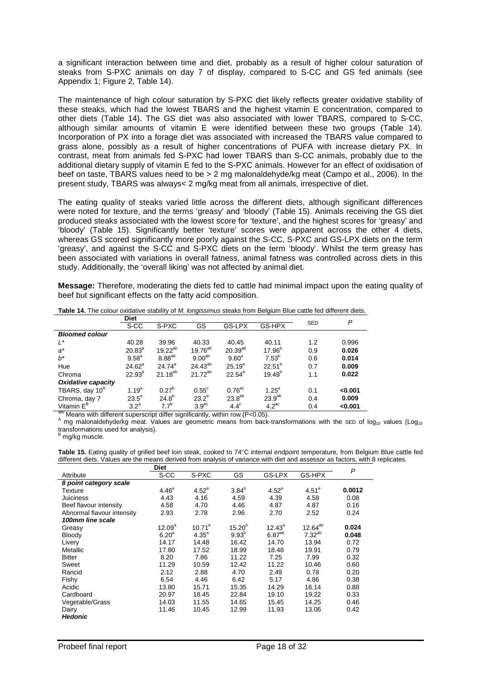a significant interaction between time and diet, probably as a result of higher colour saturation of steaks from S-PXC animals on day 7 of display, compared to S-CC and GS fed animals (see Appendix 1; Figure 2, Table 14).

The maintenance of high colour saturation by S-PXC diet likely reflects greater oxidative stability of these steaks, which had the lowest TBARS and the highest vitamin E concentration, compared to other diets (Table 14). The GS diet was also associated with lower TBARS, compared to S-CC, although similar amounts of vitamin E were identified between these two groups (Table 14). Incorporation of PX into a forage diet was associated with increased the TBARS value compared to grass alone, possibly as a result of higher concentrations of PUFA with increase dietary PX. In contrast, meat from animals fed S-PXC had lower TBARS than S-CC animals, probably due to the additional dietary supply of vitamin E fed to the S-PXC animals. However for an effect of oxidisation of beef on taste, TBARS values need to be > 2 mg malonaldehyde/kg meat (Campo et al., 2006). In the present study, TBARS was always< 2 mg/kg meat from all animals, irrespective of diet.

The eating quality of steaks varied little across the different diets, although significant differences were noted for texture, and the terms 'greasy' and 'bloody' (Table 15). Animals receiving the GS diet produced steaks associated with the lowest score for 'texture', and the highest scores for 'greasy' and 'bloody' (Table 15). Significantly better 'texture' scores were apparent across the other 4 diets, whereas GS scored significantly more poorly against the S-CC, S-PXC and GS-LPX diets on the term 'greasy', and against the S-CC and S-PXC diets on the term 'bloody'. Whilst the term greasy has been associated with variations in overall fatness, animal fatness was controlled across diets in this study. Additionally, the 'overall liking' was not affected by animal diet.

**Message:** Therefore, moderating the diets fed to cattle had minimal impact upon the eating quality of beef but significant effects on the fatty acid composition.

|                            | <b>Diet</b>     |              |                    |                      |                    | <b>SED</b> | P       |
|----------------------------|-----------------|--------------|--------------------|----------------------|--------------------|------------|---------|
|                            | S-CC            | S-PXC        | GS                 | GS-LPX               | GS-HPX             |            |         |
| <b>Bloomed colour</b>      |                 |              |                    |                      |                    |            |         |
| L*                         | 40.28           | 39.96        | 40.33              | 40.45                | 40.11              | 1.2        | 0.996   |
| $a^*$                      | $20.83^{a}$     | $19.22^{ab}$ | $19.76^{ab}$       | $20.39^{ab}$         | $17.96^{b}$        | 0.9        | 0.026   |
| $b^*$                      | $9.58^{a}$      | $8.88^{ab}$  | 9.00 <sup>ab</sup> | 9.60 <sup>a</sup>    | $7.53^{b}$         | 0.6        | 0.014   |
| Hue                        | $24.62^{\circ}$ | $24.74^a$    | $24.43^{ab}$       | $25.19^{a}$          | $22.51^{b}$        | 0.7        | 0.009   |
| Chroma                     | $22.93^{a}$     | $21.18^{ab}$ | $21.72^{ab}$       | $22.54^a$            | $19.49^{b}$        | 1.1        | 0.022   |
| <b>Oxidative capacity</b>  |                 |              |                    |                      |                    |            |         |
| TBARS, day 10 <sup>A</sup> | $1.19^{a}$      | $0.27^{b}$   | $0.55^{\circ}$     | $0.76$ <sup>ac</sup> | $1.25^{\circ}$     | 0.1        | < 0.001 |
| Chroma, day 7              | $23.5^{\circ}$  | $24.8^{b}$   | $23.2^a$           | 23.8 <sup>ab</sup>   | 23.9 <sup>ab</sup> | 0.4        | 0.009   |
| Vitamin E <sup>B</sup>     | $3.2^a$         | $7.7^{b}$    | 3.9 <sup>ac</sup>  | $4.4^\circ$          | $4.2^{\text{ac}}$  | 0.4        | < 0.001 |

**Table 14.** The colour oxidative stability of *M. longissimus* steaks from Belgium Blue cattle fed different diets.

 $\frac{1}{4}$  mg malonaldehyde/kg meat. Values are geometric means from back-transformations with the SED of log<sub>10</sub> values (Log<sub>10</sub>) transformations used for analysis).<br><sup>B</sup> mg/kg muscle.

**Table 15.** Eating quality of grilled beef loin steak, cooked to 74°C internal endpoint temperature, from Belgium Blue cattle fed different diets. Values are the means derived from analysis of variance with diet and assessor as factors, with 8 replicates.

|                            | Diet               |                |             |                   |                   | P      |
|----------------------------|--------------------|----------------|-------------|-------------------|-------------------|--------|
| Attribute                  | S-CC               | S-PXC          | GS          | GS-LPX            | GS-HPX            |        |
| 8 point category scale     |                    |                |             |                   |                   |        |
| Texture                    | 4.46 <sup>a</sup>  | $4.52^{\circ}$ | $3.84^{b}$  | 4.52 <sup>a</sup> | 4.51 <sup>a</sup> | 0.0012 |
| <b>Juiciness</b>           | 4.43               | 4.16           | 4.59        | 4.39              | 4.58              | 0.08   |
| Beef flavour intensity     | 4.58               | 4.70           | 4.46        | 4.87              | 4.87              | 0.16   |
| Abnormal flavour intensity | 2.93               | 2.78           | 2.96        | 2.70              | 2.52              | 0.24   |
| 100mm line scale           |                    |                |             |                   |                   |        |
| Greasy                     | 12.09 <sup>a</sup> | $10.71^a$      | $15.20^{b}$ | $12.43^a$         | $12.64^{ab}$      | 0.024  |
| Bloody                     | 6.20 <sup>a</sup>  | $4.35^a$       | $9.93^{b}$  | $6.87^{ab}$       | $7.32^{ab}$       | 0.048  |
| Livery                     | 14.17              | 14.48          | 16.42       | 14.70             | 13.94             | 0.72   |
| Metallic                   | 17.80              | 17.52          | 18.99       | 18.48             | 19.91             | 0.79   |
| <b>Bitter</b>              | 8.20               | 7.86           | 11.22       | 7.25              | 7.99              | 0.32   |
| Sweet                      | 11.29              | 10.59          | 12.42       | 11.22             | 10.46             | 0.60   |
| Rancid                     | 2.12               | 2.88           | 4.70        | 2.49              | 0.78              | 0.20   |
| Fishy                      | 6.54               | 4.46           | 6.42        | 5.17              | 4.86              | 0.38   |
| Acidic                     | 13.80              | 15.71          | 15.35       | 14.29             | 16.14             | 0.88   |
| Cardboard                  | 20.97              | 18.45          | 22.84       | 19.10             | 19.22             | 0.33   |
| Vegetable/Grass            | 14.03              | 11.55          | 14.65       | 15.45             | 14.25             | 0.46   |
| Dairy                      | 11.46              | 10.45          | 12.99       | 11.93             | 13.06             | 0.42   |
| <b>Hedonic</b>             |                    |                |             |                   |                   |        |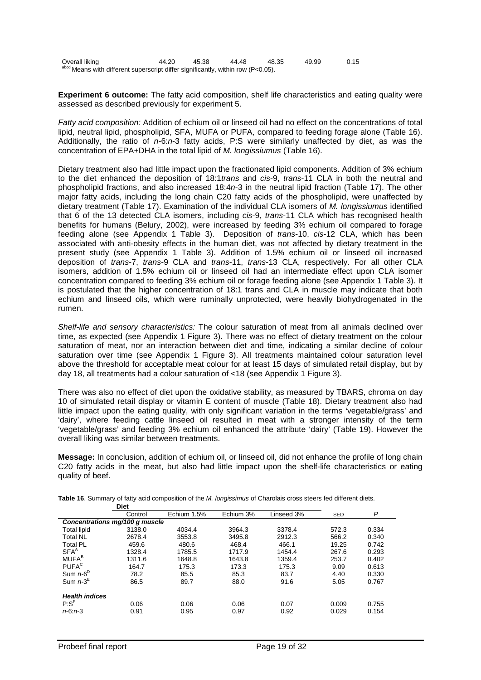| Overall liking                                                                   | 44.20 | 45.38 | 44.48 | 48.35 | 49.99 |  |
|----------------------------------------------------------------------------------|-------|-------|-------|-------|-------|--|
| abcd Means with different superscript differ significantly, within row (P<0.05). |       |       |       |       |       |  |

**Experiment 6 outcome:** The fatty acid composition, shelf life characteristics and eating quality were assessed as described previously for experiment 5.

*Fatty acid composition:* Addition of echium oil or linseed oil had no effect on the concentrations of total lipid, neutral lipid, phospholipid, SFA, MUFA or PUFA, compared to feeding forage alone (Table 16). Additionally, the ratio of *n*-6:*n*-3 fatty acids, P:S were similarly unaffected by diet, as was the concentration of EPA+DHA in the total lipid of *M. longissiumus* (Table 16).

Dietary treatment also had little impact upon the fractionated lipid components. Addition of 3% echium to the diet enhanced the deposition of 18:1*trans* and *cis*-9, *trans*-11 CLA in both the neutral and phospholipid fractions, and also increased 18:4*n*-3 in the neutral lipid fraction (Table 17). The other major fatty acids, including the long chain C20 fatty acids of the phospholipid, were unaffected by dietary treatment (Table 17). Examination of the individual CLA isomers of *M. longissiumus* identified that 6 of the 13 detected CLA isomers, including *cis*-9, *trans*-11 CLA which has recognised health benefits for humans (Belury, 2002), were increased by feeding 3% echium oil compared to forage feeding alone (see Appendix 1 Table 3). Deposition of *trans*-10, *cis*-12 CLA, which has been associated with anti-obesity effects in the human diet, was not affected by dietary treatment in the present study (see Appendix 1 Table 3). Addition of 1.5% echium oil or linseed oil increased deposition of *trans*-7, *trans*-9 CLA and *trans*-11, *trans*-13 CLA, respectively. For all other CLA isomers, addition of 1.5% echium oil or linseed oil had an intermediate effect upon CLA isomer concentration compared to feeding 3% echium oil or forage feeding alone (see Appendix 1 Table 3). It is postulated that the higher concentration of 18:1 trans and CLA in muscle may indicate that both echium and linseed oils, which were ruminally unprotected, were heavily biohydrogenated in the rumen.

*Shelf-life and sensory characteristics:* The colour saturation of meat from all animals declined over time, as expected (see Appendix 1 Figure 3). There was no effect of dietary treatment on the colour saturation of meat, nor an interaction between diet and time, indicating a similar decline of colour saturation over time (see Appendix 1 Figure 3). All treatments maintained colour saturation level above the threshold for acceptable meat colour for at least 15 days of simulated retail display, but by day 18, all treatments had a colour saturation of <18 (see Appendix 1 Figure 3).

There was also no effect of diet upon the oxidative stability, as measured by TBARS, chroma on day 10 of simulated retail display or vitamin E content of muscle (Table 18). Dietary treatment also had little impact upon the eating quality, with only significant variation in the terms 'vegetable/grass' and 'dairy', where feeding cattle linseed oil resulted in meat with a stronger intensity of the term 'vegetable/grass' and feeding 3% echium oil enhanced the attribute 'dairy' (Table 19). However the overall liking was similar between treatments.

**Message:** In conclusion, addition of echium oil, or linseed oil, did not enhance the profile of long chain C20 fatty acids in the meat, but also had little impact upon the shelf-life characteristics or eating quality of beef.

|                                | <b>Diet</b> |             |           |            |            |       |
|--------------------------------|-------------|-------------|-----------|------------|------------|-------|
|                                | Control     | Echium 1.5% | Echium 3% | Linseed 3% | <b>SED</b> | P     |
| Concentrations mg/100 g muscle |             |             |           |            |            |       |
| <b>Total lipid</b>             | 3138.0      | 4034.4      | 3964.3    | 3378.4     | 572.3      | 0.334 |
| <b>Total NL</b>                | 2678.4      | 3553.8      | 3495.8    | 2912.3     | 566.2      | 0.340 |
| <b>Total PL</b>                | 459.6       | 480.6       | 468.4     | 466.1      | 19.25      | 0.742 |
| SFA <sup>A</sup>               | 1328.4      | 1785.5      | 1717.9    | 1454.4     | 267.6      | 0.293 |
| <b>MUFA</b> <sup>B</sup>       | 1311.6      | 1648.8      | 1643.8    | 1359.4     | 253.7      | 0.402 |
| <b>PUFA</b> <sup>C</sup>       | 164.7       | 175.3       | 173.3     | 175.3      | 9.09       | 0.613 |
| Sum $n-6^D$                    | 78.2        | 85.5        | 85.3      | 83.7       | 4.40       | 0.330 |
| Sum $n-3^E$                    | 86.5        | 89.7        | 88.0      | 91.6       | 5.05       | 0.767 |
| <b>Health indices</b>          |             |             |           |            |            |       |
| $P: S^F$                       | 0.06        | 0.06        | 0.06      | 0.07       | 0.009      | 0.755 |
| $n - 6: n - 3$                 | 0.91        | 0.95        | 0.97      | 0.92       | 0.029      | 0.154 |

**Table 16**. Summary of fatty acid composition of the *M. longissimus* of Charolais cross steers fed different diets.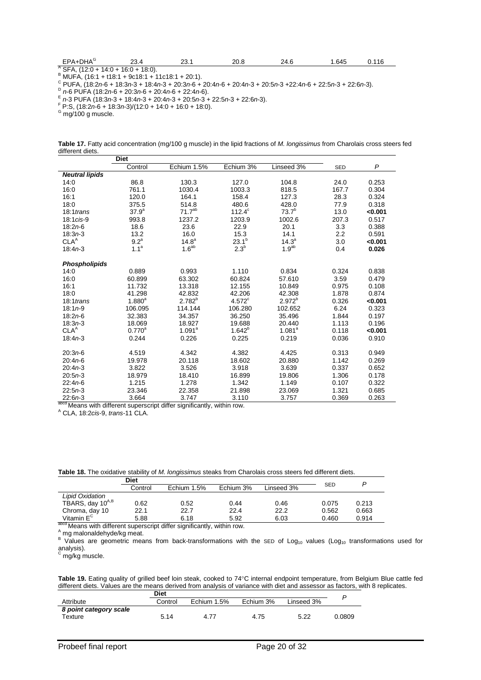| EPA+DHA <sup>G</sup>        | ົດ<br>20.4             | 23.1 | 20.8 | 24.6 | .645 | 116 |  |
|-----------------------------|------------------------|------|------|------|------|-----|--|
| ົSFA. ເ<br>$(12:0 + 14:0 +$ | $-18:0$ ).<br>$16:0 +$ |      |      |      |      |     |  |

B MUFA, (16:1 + t18:1 + 9c18:1 + 11c18:1 + 20:1).<br>
C PUFA, (16:1 + t18:1 + 9c18:1 + 11c18:1 + 20:3n-6 + 20:4n-6 + 20:4n-3 + 20:5n-3 +22:4n-6 + 22:5n-3 + 22:6n-3).<br>
P n-6 PUFA (18:2n-6 + 20:3n-6 + 20:4n-6 + 22:4n-6).<br>
F n-

**Table 17.** Fatty acid concentration (mg/100 g muscle) in the lipid fractions of *M. longissimus* from Charolais cross steers fed different diets.

|                        | <b>Diet</b>      |                    |                  |                    |            |              |
|------------------------|------------------|--------------------|------------------|--------------------|------------|--------------|
|                        | Control          | Echium 1.5%        | Echium 3%        | Linseed 3%         | <b>SED</b> | $\mathsf{P}$ |
| <b>Neutral lipids</b>  |                  |                    |                  |                    |            |              |
| 14:0                   | 86.8             | 130.3              | 127.0            | 104.8              | 24.0       | 0.253        |
| 16:0                   | 761.1            | 1030.4             | 1003.3           | 818.5              | 167.7      | 0.304        |
| 16:1                   | 120.0            | 164.1              | 158.4            | 127.3              | 28.3       | 0.324        |
| 18:0                   | 375.5            | 514.8              | 480.6            | 428.0              | 77.9       | 0.318        |
| $18:1$ trans           | $37.9^{a}$       | $71.7^{ab}$        | $112.4^{\circ}$  | $73.7^{b}$         | 13.0       | < 0.001      |
| 18:1 cis-9             | 993.8            | 1237.2             | 1203.9           | 1002.6             | 207.3      | 0.517        |
| $18:2n-6$              | 18.6             | 23.6               | 22.9             | 20.1               | 3.3        | 0.388        |
| $18:3n-3$              | 13.2             | 16.0               | 15.3             | 14.1               | 2.2        | 0.591        |
| CLA <sup>A</sup>       | 9.2 <sup>a</sup> | $14.8^{a}$         | $23.1^{b}$       | $14.3^{\circ}$     | 3.0        | < 0.001      |
| 18:4n3                 | 1.1 <sup>a</sup> | 1.6 <sup>ab</sup>  | 2.3 <sup>b</sup> | 1.9 <sup>ab</sup>  | 0.4        | 0.026        |
|                        |                  |                    |                  |                    |            |              |
| <b>Phospholipids</b>   |                  |                    |                  |                    |            |              |
| 14:0                   | 0.889            | 0.993              | 1.110            | 0.834              | 0.324      | 0.838        |
| 16:0                   | 60.899           | 63.302             | 60.824           | 57.610             | 3.59       | 0.479        |
| 16:1                   | 11.732           | 13.318             | 12.155           | 10.849             | 0.975      | 0.108        |
| 18:0                   | 41.298           | 42.832             | 42.206           | 42.308             | 1.878      | 0.874        |
| $18:1$ trans           | $1.880^{a}$      | $2.782^{b}$        | $4.572^{\circ}$  | $2.972^{b}$        | 0.326      | < 0.001      |
| $18:1n-9$              | 106.095          | 114.144            | 106.280          | 102.652            | 6.24       | 0.323        |
| $18:2n-6$              | 32.383           | 34.357             | 36.250           | 35.496             | 1.844      | 0.197        |
| $18:3n-3$              | 18.069           | 18.927             | 19.688           | 20.440             | 1.113      | 0.196        |
| CLA <sup>A</sup>       | $0.770^{\circ}$  | 1.091 <sup>a</sup> | $1.642^{b}$      | 1.081 <sup>a</sup> | 0.118      | < 0.001      |
| $18:4n-3$              | 0.244            | 0.226              | 0.225            | 0.219              | 0.036      | 0.910        |
| $20:3n-6$              | 4.519            | 4.342              | 4.382            | 4.425              | 0.313      | 0.949        |
| $20:4n-6$              | 19.978           | 20.118             | 18.602           | 20.880             | 1.142      | 0.269        |
| $20:4n-3$              | 3.822            | 3.526              | 3.918            | 3.639              | 0.337      | 0.652        |
|                        |                  |                    | 16.899           |                    | 1.306      | 0.178        |
| $20:5n-3$<br>$22:4n-6$ | 18.979<br>1.215  | 18.410<br>1.278    | 1.342            | 19.806<br>1.149    | 0.107      | 0.322        |
|                        |                  |                    |                  |                    |            |              |
| $22:5n-3$              | 23.346           | 22.358             | 21.898           | 23.069             | 1.321      | 0.685        |
| $22:6n-3$              | 3.664            | 3.747              | 3.110            | 3.757              | 0.369      | 0.263        |

 $2^{202}$  Means with different superscript differ significantly, within row.<br><sup>A</sup> CLA, 18:2*cis*-9, *trans*-11 CLA.

**Table 18.** The oxidative stability of *M. longissimus* steaks from Charolais cross steers fed different diets.

|                                     | Diet    |             |           |            |            | P     |  |
|-------------------------------------|---------|-------------|-----------|------------|------------|-------|--|
|                                     | Control | Echium 1.5% | Echium 3% | Linseed 3% | <b>SED</b> |       |  |
| Lipid Oxidation                     |         |             |           |            |            |       |  |
| TBARS, day 10 <sup>A,B</sup>        | 0.62    | 0.52        | 0.44      | 0.46       | 0.075      | 0.213 |  |
| Chroma, day 10                      | 22.1    | 22.7        | 22.4      | 22.2       | 0.562      | 0.663 |  |
| Vitamin $E^C$<br><b>State State</b> | 5.88    | 6.18        | 5.92      | 6.03       | 0.460      | 0.914 |  |

 $A$  means with different superscript differ significantly, within row.<br>
A mg malonaldehyde/kg meat.<br>
<sup>B</sup> Values are geometric means from back-transformations with the SED of Log<sub>10</sub> values (Log<sub>10</sub> transformations used fo analysis).<br><sup>c</sup> mg/kg muscle.

**Table 19.** Eating quality of grilled beef loin steak, cooked to 74°C internal endpoint temperature, from Belgium Blue cattle fed different diets. Values are the means derived from analysis of variance with diet and assessor as factors, with 8 replicates.

|                                   | Diet    |             |           |            |        |
|-----------------------------------|---------|-------------|-----------|------------|--------|
| Attribute                         | Control | Echium 1.5% | Echium 3% | Linseed 3% |        |
| 8 point category scale<br>Texture | 5.14    | 4.77        | 4.75      | 5.22       | 0.0809 |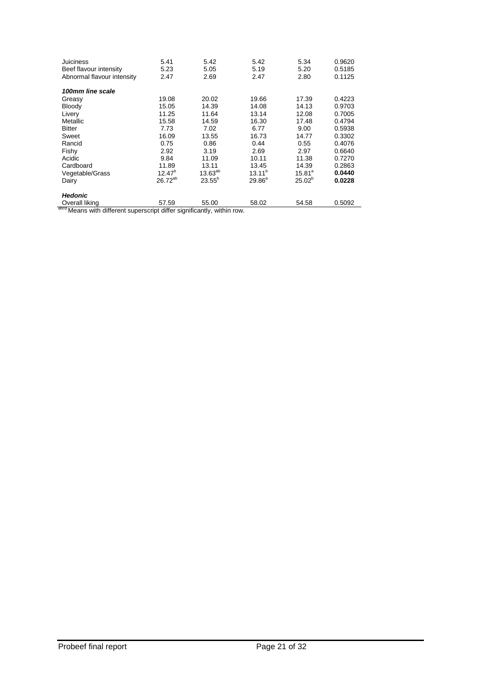| <b>Juiciness</b><br>Beef flavour intensity<br>Abnormal flavour intensity | 5.41<br>5.23<br>2.47 | 5.42<br>5.05<br>2.69 | 5.42<br>5.19<br>2.47 | 5.34<br>5.20<br>2.80 | 0.9620<br>0.5185<br>0.1125 |  |  |  |  |
|--------------------------------------------------------------------------|----------------------|----------------------|----------------------|----------------------|----------------------------|--|--|--|--|
| 100mm line scale                                                         |                      |                      |                      |                      |                            |  |  |  |  |
| Greasy                                                                   | 19.08                | 20.02                | 19.66                | 17.39                | 0.4223                     |  |  |  |  |
| Bloody                                                                   | 15.05                | 14.39                | 14.08                | 14.13                | 0.9703                     |  |  |  |  |
| Livery                                                                   | 11.25                | 11.64                | 13.14                | 12.08                | 0.7005                     |  |  |  |  |
| Metallic                                                                 | 15.58                | 14.59                | 16.30                | 17.48                | 0.4794                     |  |  |  |  |
| <b>Bitter</b>                                                            | 7.73                 | 7.02                 | 6.77                 | 9.00                 | 0.5938                     |  |  |  |  |
| Sweet                                                                    | 16.09                | 13.55                | 16.73                | 14.77                | 0.3302                     |  |  |  |  |
| Rancid                                                                   | 0.75                 | 0.86                 | 0.44                 | 0.55                 | 0.4076                     |  |  |  |  |
| Fishy                                                                    | 2.92                 | 3.19                 | 2.69                 | 2.97                 | 0.6640                     |  |  |  |  |
| Acidic                                                                   | 9.84                 | 11.09                | 10.11                | 11.38                | 0.7270                     |  |  |  |  |
| Cardboard                                                                | 11.89                | 13.11                | 13.45                | 14.39                | 0.2863                     |  |  |  |  |
| Vegetable/Grass                                                          | $12.47^{b}$          | $13.63^{ab}$         | $13.11^{b}$          | $15.81^{a}$          | 0.0440                     |  |  |  |  |
| Dairy                                                                    | $26.72^{ab}$         | $23.55^{b}$          | $29.86^{\circ}$      | $25.02^{b}$          | 0.0228                     |  |  |  |  |
| <b>Hedonic</b>                                                           |                      |                      |                      |                      |                            |  |  |  |  |
| Overall liking                                                           | 57.59                | 55.00                | 58.02                | 54.58                | 0.5092                     |  |  |  |  |
| abcd Means with different superscript differ significantly, within row.  |                      |                      |                      |                      |                            |  |  |  |  |

Probeef final report Probeef final report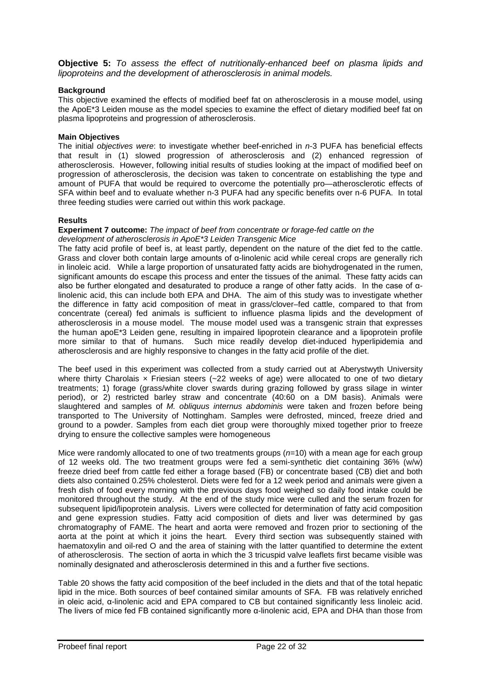**Objective 5:** *To assess the effect of nutritionally-enhanced beef on plasma lipids and lipoproteins and the development of atherosclerosis in animal models.* 

## **Background**

This objective examined the effects of modified beef fat on atherosclerosis in a mouse model, using the ApoE\*3 Leiden mouse as the model species to examine the effect of dietary modified beef fat on plasma lipoproteins and progression of atherosclerosis.

## **Main Objectives**

The initial *objectives were*: to investigate whether beef-enriched in *n*-3 PUFA has beneficial effects that result in (1) slowed progression of atherosclerosis and (2) enhanced regression of atherosclerosis. However, following initial results of studies looking at the impact of modified beef on progression of atherosclerosis, the decision was taken to concentrate on establishing the type and amount of PUFA that would be required to overcome the potentially pro—atherosclerotic effects of SFA within beef and to evaluate whether n-3 PUFA had any specific benefits over n-6 PUFA. In total three feeding studies were carried out within this work package.

### **Results**

#### **Experiment 7 outcome:** *The impact of beef from concentrate or forage-fed cattle on the development of atherosclerosis in ApoE\*3 Leiden Transgenic Mice*

The fatty acid profile of beef is, at least partly, dependent on the nature of the diet fed to the cattle. Grass and clover both contain large amounts of α-linolenic acid while cereal crops are generally rich in linoleic acid. While a large proportion of unsaturated fatty acids are biohydrogenated in the rumen, significant amounts do escape this process and enter the tissues of the animal. These fatty acids can also be further elongated and desaturated to produce a range of other fatty acids. In the case of αlinolenic acid, this can include both EPA and DHA. The aim of this study was to investigate whether the difference in fatty acid composition of meat in grass/clover–fed cattle, compared to that from concentrate (cereal) fed animals is sufficient to influence plasma lipids and the development of atherosclerosis in a mouse model. The mouse model used was a transgenic strain that expresses the human apoE\*3 Leiden gene, resulting in impaired lipoprotein clearance and a lipoprotein profile more similar to that of humans. Such mice readily develop diet-induced hyperlipidemia and atherosclerosis and are highly responsive to changes in the fatty acid profile of the diet.

The beef used in this experiment was collected from a study carried out at Aberystwyth University where thirty Charolais  $x$  Friesian steers ( $\approx$ 22 weeks of age) were allocated to one of two dietary treatments; 1) forage (grass/white clover swards during grazing followed by grass silage in winter period), or 2) restricted barley straw and concentrate (40:60 on a DM basis). Animals were slaughtered and samples of *M. obliquus internus abdominis* were taken and frozen before being transported to The University of Nottingham. Samples were defrosted, minced, freeze dried and ground to a powder. Samples from each diet group were thoroughly mixed together prior to freeze drying to ensure the collective samples were homogeneous

Mice were randomly allocated to one of two treatments groups (*n*=10) with a mean age for each group of 12 weeks old. The two treatment groups were fed a semi-synthetic diet containing 36% (w/w) freeze dried beef from cattle fed either a forage based (FB) or concentrate based (CB) diet and both diets also contained 0.25% cholesterol. Diets were fed for a 12 week period and animals were given a fresh dish of food every morning with the previous days food weighed so daily food intake could be monitored throughout the study. At the end of the study mice were culled and the serum frozen for subsequent lipid/lipoprotein analysis. Livers were collected for determination of fatty acid composition and gene expression studies. Fatty acid composition of diets and liver was determined by gas chromatography of FAME. The heart and aorta were removed and frozen prior to sectioning of the aorta at the point at which it joins the heart. Every third section was subsequently stained with haematoxylin and oil-red O and the area of staining with the latter quantified to determine the extent of atherosclerosis. The section of aorta in which the 3 tricuspid valve leaflets first became visible was nominally designated and atherosclerosis determined in this and a further five sections.

Table 20 shows the fatty acid composition of the beef included in the diets and that of the total hepatic lipid in the mice. Both sources of beef contained similar amounts of SFA. FB was relatively enriched in oleic acid, α-linolenic acid and EPA compared to CB but contained significantly less linoleic acid. The livers of mice fed FB contained significantly more α-linolenic acid, EPA and DHA than those from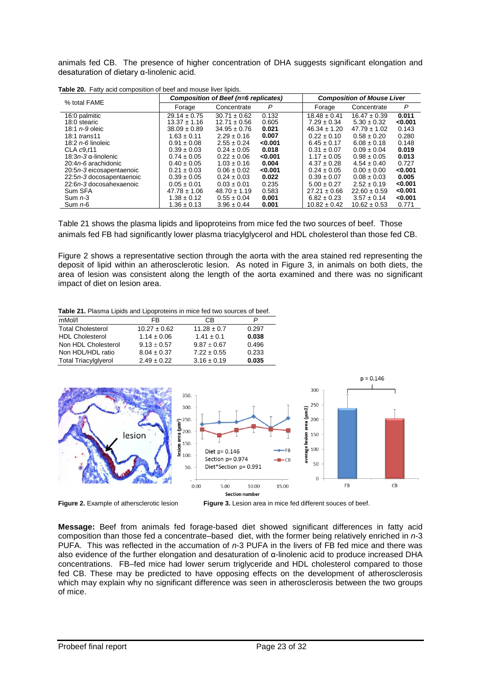animals fed CB. The presence of higher concentration of DHA suggests significant elongation and desaturation of dietary α-linolenic acid.

| % total FAME                 |                  | Composition of Beef (n=6 replicates) | <b>Composition of Mouse Liver</b> |                  |                  |         |
|------------------------------|------------------|--------------------------------------|-----------------------------------|------------------|------------------|---------|
|                              | Forage           | Concentrate                          | P                                 | Forage           | Concentrate      | P       |
| 16:0 palmitic                | $29.14 \pm 0.75$ | $30.71 \pm 0.62$                     | 0.132                             | $18.48 \pm 0.41$ | $16.47 \pm 0.39$ | 0.011   |
| 18:0 stearic                 | $13.37 \pm 1.16$ | $12.71 \pm 0.56$                     | 0.605                             | $7.29 \pm 0.34$  | $5.30 \pm 0.32$  | < 0.001 |
| 18:1 $n-9$ oleic             | $38.09 \pm 0.89$ | $34.95 \pm 0.76$                     | 0.021                             | $46.34 \pm 1.20$ | $47.79 \pm 1.02$ | 0.143   |
| 18:1 trans11                 | $1.63 \pm 0.11$  | $2.29 \pm 0.16$                      | 0.007                             | $0.22 \pm 0.10$  | $0.58 \pm 0.20$  | 0.280   |
| 18:2 $n$ -6 linoleic         | $0.91 \pm 0.08$  | $2.55 \pm 0.24$                      | 0.001                             | $6.45 \pm 0.17$  | $6.08 \pm 0.18$  | 0.148   |
| CLA $c9.11$                  | $0.39 \pm 0.03$  | $0.24 \pm 0.05$                      | 0.018                             | $0.31 \pm 0.07$  | $0.09 \pm 0.04$  | 0.019   |
| 18:3 <i>n</i> -3 α-linolenic | $0.74 \pm 0.05$  | $0.22 \pm 0.06$                      | < 0.001                           | $1.17 \pm 0.05$  | $0.98 \pm 0.05$  | 0.013   |
| 20:4 <i>n-6</i> arachidonic  | $0.40 \pm 0.05$  | $1.03 \pm 0.16$                      | 0.004                             | $4.37 \pm 0.28$  | $4.54 \pm 0.40$  | 0.727   |
| 20:5n-3 eicosapentaenoic     | $0.21 \pm 0.03$  | $0.06 \pm 0.02$                      | < 0.001                           | $0.24 \pm 0.05$  | $0.00 \pm 0.00$  | < 0.001 |
| 22:5n-3 docosapentaenoic     | $0.39 \pm 0.05$  | $0.24 \pm 0.03$                      | 0.022                             | $0.39 \pm 0.07$  | $0.08 \pm 0.03$  | 0.005   |
| 22:6n-3 docosahexaenoic      | $0.05 \pm 0.01$  | $0.03 \pm 0.01$                      | 0.235                             | $5.00 \pm 0.27$  | $2.52 \pm 0.19$  | < 0.001 |
| Sum SFA                      | $47.78 \pm 1.06$ | $48.70 \pm 1.19$                     | 0.583                             | $27.21 \pm 0.66$ | $22.60 \pm 0.59$ | < 0.001 |
| Sum $n-3$                    | $1.38 \pm 0.12$  | $0.55 \pm 0.04$                      | 0.001                             | $6.82 \pm 0.23$  | $3.57 \pm 0.14$  | < 0.001 |
| Sum $n-6$                    | $1.36 \pm 0.13$  | $3.96 \pm 0.44$                      | 0.001                             | $10.82 \pm 0.42$ | $10.62 \pm 0.53$ | 0.771   |

**Table 20.** Fatty acid composition of beef and mouse liver lipids.

Table 21 shows the plasma lipids and lipoproteins from mice fed the two sources of beef. Those animals fed FB had significantly lower plasma triacylglycerol and HDL cholesterol than those fed CB.

Figure 2 shows a representative section through the aorta with the area stained red representing the deposit of lipid within an atherosclerotic lesion. As noted in Figure 3, in animals on both diets, the area of lesion was consistent along the length of the aorta examined and there was no significant impact of diet on lesion area.

**Table 21.** Plasma Lipids and Lipoproteins in mice fed two sources of beef.

| mMol/l                      | FB               | СB              |       |
|-----------------------------|------------------|-----------------|-------|
| <b>Total Cholesterol</b>    | $10.27 \pm 0.62$ | $11.28 \pm 0.7$ | 0.297 |
| <b>HDL Cholesterol</b>      | $1.14 \pm 0.06$  | $1.41 \pm 0.1$  | 0.038 |
| Non HDL Cholesterol         | $9.13 + 0.57$    | $9.87 + 0.67$   | 0.496 |
| Non HDL/HDL ratio           | $8.04 \pm 0.37$  | $7.22 \pm 0.55$ | 0.233 |
| <b>Total Triacylglyerol</b> | $2.49 \pm 0.22$  | $3.16 \pm 0.19$ | 0.035 |



**Figure 2.** Example of athersclerotic lesion **Figure 3.** Lesion area in mice fed different souces of beef.

**Message:** Beef from animals fed forage-based diet showed significant differences in fatty acid composition than those fed a concentrate–based diet, with the former being relatively enriched in *n*-3 PUFA. This was reflected in the accumation of *n*-3 PUFA in the livers of FB fed mice and there was also evidence of the further elongation and desaturation of α-linolenic acid to produce increased DHA concentrations. FB–fed mice had lower serum triglyceride and HDL cholesterol compared to those fed CB. These may be predicted to have opposing effects on the development of atherosclerosis which may explain why no significant difference was seen in atherosclerosis between the two groups of mice.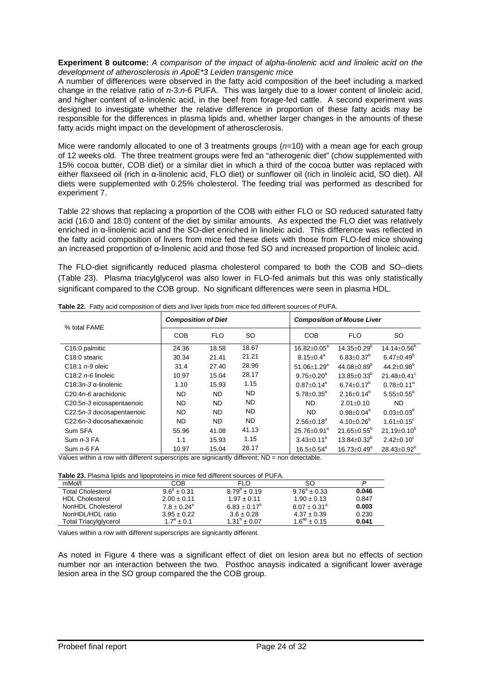#### **Experiment 8 outcome:** *A comparison of the impact of alpha-linolenic acid and linoleic acid on the development of atherosclerosis in ApoE\*3 Leiden transgenic mice*

A number of differences were observed in the fatty acid composition of the beef including a marked change in the relative ratio of *n*-3:*n*-6 PUFA. This was largely due to a lower content of linoleic acid, and higher content of α-linolenic acid, in the beef from forage-fed cattle. A second experiment was designed to investigate whether the relative difference in proportion of these fatty acids may be responsible for the differences in plasma lipids and, whether larger changes in the amounts of these fatty acids might impact on the development of atherosclerosis.

Mice were randomly allocated to one of 3 treatments groups (*n*=10) with a mean age for each group of 12 weeks old. The three treatment groups were fed an "atherogenic diet" (chow supplemented with 15% cocoa butter, COB diet) or a similar diet in which a third of the cocoa butter was replaced with either flaxseed oil (rich in α-linolenic acid, FLO diet) or sunflower oil (rich in linoleic acid, SO diet). All diets were supplemented with 0.25% cholesterol. The feeding trial was performed as described for experiment 7.

Table 22 shows that replacing a proportion of the COB with either FLO or SO reduced saturated fatty acid (16:0 and 18:0) content of the diet by similar amounts. As expected the FLO diet was relatively enriched in α-linolenic acid and the SO-diet enriched in linoleic acid. This difference was reflected in the fatty acid composition of livers from mice fed these diets with those from FLO-fed mice showing an increased proportion of α-linolenic acid and those fed SO and increased proportion of linoleic acid.

The FLO-diet significantly reduced plasma cholesterol compared to both the COB and SO–diets (Table 23). Plasma triacylglycerol was also lower in FLO-fed animals but this was only statistically significant compared to the COB group. No significant differences were seen in plasma HDL.

|                                                      | <b>Composition of Diet</b> |                                             |                       | <b>Composition of Mouse Liver</b>                                                     |
|------------------------------------------------------|----------------------------|---------------------------------------------|-----------------------|---------------------------------------------------------------------------------------|
| % total FAME                                         | <b>COB</b>                 | <b>FLO</b>                                  | <b>SO</b>             | <b>COB</b><br><b>FLO</b><br>SO.                                                       |
| C16:0 palmitic                                       | 24.36                      | 18.58                                       | 18.67                 | 14.14 $\pm$ 0.56 <sup>b</sup><br>$14.35 \pm 0.29^{\circ}$<br>$16.82 \pm 0.05^{\circ}$ |
| C <sub>18:0</sub> stearic                            | 30.34                      | 21.41                                       | 21.21                 | $6.47 \pm 0.49^b$<br>$6.83 \pm 0.37^{\circ}$<br>$8.15 + 0.4^a$                        |
| C <sub>18:1</sub> $n-9$ oleic                        | 31.4                       | 27.40                                       | 28.96                 | $44.2{\pm}0.98^{\rm b}$<br>$44.08 \pm 0.89^{\circ}$<br>$51.06 + 1.29$ <sup>a</sup>    |
| C18:2 $n$ -6 linoleic                                | 10.97                      | 15.04                                       | 28.17                 | $13.85 \pm 0.33^b$<br>$9.75 \pm 0.20^a$<br>$21.48 \pm 0.41$ °                         |
| C18:3n-3 $\alpha$ -linolenic                         | 1.10                       | 15.93                                       | 1.15                  | $6.74 + 0.17^b$<br>$0.87 + 0.14^a$<br>$0.78 \pm 0.11^a$                               |
| C20:4n-6 arachidonic                                 | ND.                        | ND.                                         | ND.                   | $2.16 \pm 0.14^b$<br>$5.55 \pm 0.55^{\circ}$<br>$5.78 \pm 0.35^{\circ}$               |
| C20:5n-3 eicosapentaenoic                            | ND.                        | ND.                                         | ND.                   | ND.<br>$2.01 \pm 0.10$<br>ND.                                                         |
| C22:5n-3 docosapentaenoic                            | ND.                        | <b>ND</b>                                   | ND.                   | $0.03 \pm 0.03^b$<br><b>ND</b><br>$0.98 + 0.04^a$                                     |
| C22:6n-3 docosahexaenoic                             | ND.                        | <b>ND</b>                                   | ND.                   | $4.10 + 0.26^{\circ}$<br>$2.56 + 0.18^a$<br>$1.61 \pm 0.15$ <sup>c</sup>              |
| Sum SFA                                              | 55.96                      | 41.08                                       | 41.13                 | $21.19 \pm 0.10^6$<br>$21.65 + 0.55^{\circ}$<br>$25.76 \pm 0.91$ <sup>a</sup>         |
| Sum $n-3$ FA                                         | 1.1                        | 15.93                                       | 1.15                  | $13.84 \pm 0.32^{\circ}$<br>$3.43 \pm 0.11^a$<br>$2.42 \pm 0.10^{\circ}$              |
| Sum $n-6$ FA<br>Martin and an Artistic<br>the states | 10.97                      | 15.04<br>المستلف والمستنبذ والمستنبذ المتوا | 28.17<br>$AB = 0.000$ | $28.43 \pm 0.92^b$<br>$16.5 \pm 0.54^{\text{a}}$<br>$16.73 \pm 0.49^a$                |

**Table 22.** Fatty acid composition of diets and liver lipids from mice fed different sources of PUFA.

Values within a row with different superscripts are signicantly different; ND = non detectable.

| mMol/l                 | COB                       | FI O                    | SO                    |       |
|------------------------|---------------------------|-------------------------|-----------------------|-------|
| Total Cholesterol      | $9.6^4 + 0.31$            | $8.79^{\circ} \pm 0.19$ | $9.76^4 + 0.33$       | 0.046 |
| <b>HDL Cholesterol</b> | $2.00 \pm 0.11$           | $1.97 \pm 0.11$         | $1.90 \pm 0.13$       | 0.847 |
| NonHDL Cholesterol     | $7.8 + 0.24$ <sup>a</sup> | $6.83 + 0.17^b$         | $8.07 + 0.31^{\circ}$ | 0.003 |
| NonHDL/HDL ratio       | $3.95 \pm 0.22$           | $3.6 \pm 0.28$          | $4.37 \pm 0.39$       | 0.230 |
| Total Triacylglycerol  | $1.7^a \pm 0.1$           | $1.31^{\circ} + 0.07$   | $1.6^{ab} + 0.15$     | 0.041 |
|                        |                           |                         |                       |       |

Values within a row with different superscripts are signicantly different.

As noted in Figure 4 there was a significant effect of diet on lesion area but no effects of section number nor an interaction between the two. Posthoc anaysis indicated a significant lower average lesion area in the SO group compared the the COB group.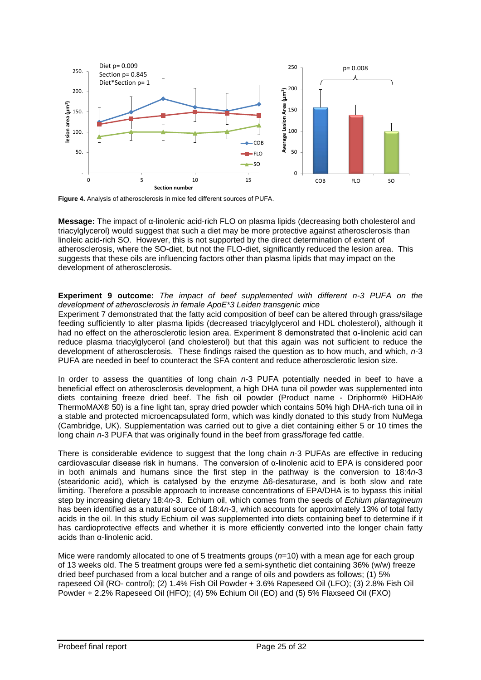

**Figure 4.** Analysis of atherosclerosis in mice fed different sources of PUFA.

**Message:** The impact of α-linolenic acid-rich FLO on plasma lipids (decreasing both cholesterol and triacylglycerol) would suggest that such a diet may be more protective against atherosclerosis than linoleic acid-rich SO. However, this is not supported by the direct determination of extent of atherosclerosis, where the SO-diet, but not the FLO-diet, significantly reduced the lesion area. This suggests that these oils are influencing factors other than plasma lipids that may impact on the development of atherosclerosis.

## **Experiment 9 outcome:** *The impact of beef supplemented with different n-3 PUFA on the development of atherosclerosis in female ApoE\*3 Leiden transgenic mice*

Experiment 7 demonstrated that the fatty acid composition of beef can be altered through grass/silage feeding sufficiently to alter plasma lipids (decreased triacylglycerol and HDL cholesterol), although it had no effect on the atherosclerotic lesion area. Experiment 8 demonstrated that α-linolenic acid can reduce plasma triacylglycerol (and cholesterol) but that this again was not sufficient to reduce the development of atherosclerosis. These findings raised the question as to how much, and which, *n*-3 PUFA are needed in beef to counteract the SFA content and reduce atherosclerotic lesion size.

In order to assess the quantities of long chain *n*-3 PUFA potentially needed in beef to have a beneficial effect on atherosclerosis development, a high DHA tuna oil powder was supplemented into diets containing freeze dried beef. The fish oil powder (Product name - Driphorm® HiDHA® ThermoMAX® 50) is a fine light tan, spray dried powder which contains 50% high DHA-rich tuna oil in a stable and protected microencapsulated form, which was kindly donated to this study from NuMega (Cambridge, UK). Supplementation was carried out to give a diet containing either 5 or 10 times the long chain *n*-3 PUFA that was originally found in the beef from grass/forage fed cattle.

There is considerable evidence to suggest that the long chain *n*-3 PUFAs are effective in reducing cardiovascular disease risk in humans. The conversion of α-linolenic acid to EPA is considered poor in both animals and humans since the first step in the pathway is the conversion to 18:4*n*-3 (stearidonic acid), which is catalysed by the enzyme Δ6-desaturase, and is both slow and rate limiting. Therefore a possible approach to increase concentrations of EPA/DHA is to bypass this initial step by increasing dietary 18:4*n*-3. Echium oil, which comes from the seeds of *Echium plantagineum* has been identified as a natural source of 18:4*n*-3, which accounts for approximately 13% of total fatty acids in the oil. In this study Echium oil was supplemented into diets containing beef to determine if it has cardioprotective effects and whether it is more efficiently converted into the longer chain fatty acids than α-linolenic acid.

Mice were randomly allocated to one of 5 treatments groups ( $n=10$ ) with a mean age for each group of 13 weeks old. The 5 treatment groups were fed a semi-synthetic diet containing 36% (w/w) freeze dried beef purchased from a local butcher and a range of oils and powders as follows; (1) 5% rapeseed Oil (RO- control); (2) 1.4% Fish Oil Powder + 3.6% Rapeseed Oil (LFO); (3) 2.8% Fish Oil Powder + 2.2% Rapeseed Oil (HFO); (4) 5% Echium Oil (EO) and (5) 5% Flaxseed Oil (FXO)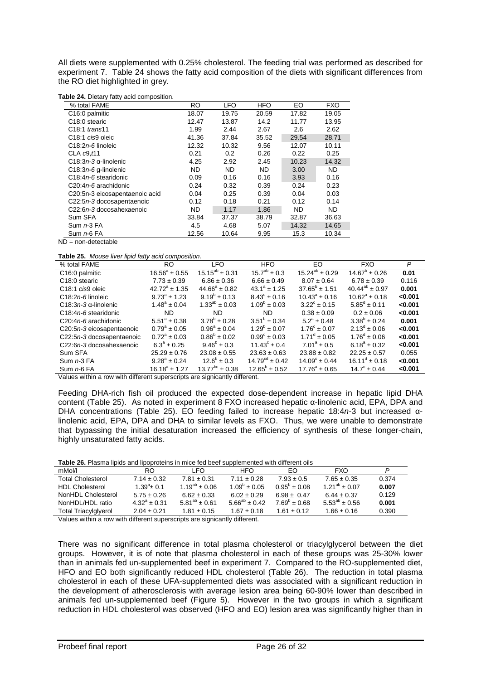All diets were supplemented with 0.25% cholesterol. The feeding trial was performed as described for experiment 7. Table 24 shows the fatty acid composition of the diets with significant differences from the RO diet highlighted in grey.

**Table 24.** Dietary fatty acid composition.

| % total FAME                               | <b>RO</b> | <b>LFO</b> | HFO       | EO    | <b>FXO</b> |
|--------------------------------------------|-----------|------------|-----------|-------|------------|
| C16:0 palmitic                             | 18.07     | 19.75      | 20.59     | 17.82 | 19.05      |
| C <sub>18</sub> :0 stearic                 | 12.47     | 13.87      | 14.2      | 11.77 | 13.95      |
| C <sub>18:1</sub> trans <sup>11</sup>      | 1.99      | 2.44       | 2.67      | 2.6   | 2.62       |
| C <sub>18:1</sub> cis9 oleic               | 41.36     | 37.84      | 35.52     | 29.54 | 28.71      |
| C <sub>18</sub> :2n-6 linoleic             | 12.32     | 10.32      | 9.56      | 12.07 | 10.11      |
| CLA $c9.11$                                | 0.21      | 0.2        | 0.26      | 0.22  | 0.25       |
| $C18:3n-3$ $\alpha$ -linolenic             | 4.25      | 2.92       | 2.45      | 10.23 | 14.32      |
| $C18:3n-6$ g-linolenic                     | <b>ND</b> | ND.        | <b>ND</b> | 3.00  | <b>ND</b>  |
| C <sub>18</sub> :4 <i>n</i> -6 stearidonic | 0.09      | 0.16       | 0.16      | 3.93  | 0.16       |
| C20:4n-6 arachidonic                       | 0.24      | 0.32       | 0.39      | 0.24  | 0.23       |
| C20:5n-3 eicosapentaenoic acid             | 0.04      | 0.25       | 0.39      | 0.04  | 0.03       |
| C22:5n-3 docosapentaenoic                  | 0.12      | 0.18       | 0.21      | 0.12  | 0.14       |
| C22:6n-3 docosahexaenoic                   | ND.       | 1.17       | 1.86      | ND.   | <b>ND</b>  |
| Sum SFA                                    | 33.84     | 37.37      | 38.79     | 32.87 | 36.63      |
| Sum $n-3$ FA                               | 4.5       | 4.68       | 5.07      | 14.32 | 14.65      |
| Sum n-6 FA                                 | 12.56     | 10.64      | 9.95      | 15.3  | 10.34      |

 $ND = non-detectable$ 

**Table 25.** *Mouse liver lipid fatty acid composition.*

| % total FAME                 | RO.                     | LFO.                    | <b>HFO</b>                   | EO.                      | <b>FXO</b>               | P       |
|------------------------------|-------------------------|-------------------------|------------------------------|--------------------------|--------------------------|---------|
| C <sub>16</sub> :0 palmitic  | $16.56^a \pm 0.55$      | $15.15^{ab} \pm 0.31$   | $15.7^{ab} \pm 0.3$          | $15.24^{ab} \pm 0.29$    | $14.67^{\circ} \pm 0.26$ | 0.01    |
| C <sub>18:0</sub> stearic    | $7.73 \pm 0.39$         | $6.86 \pm 0.36$         | $6.66 \pm 0.49$              | $8.07 \pm 0.64$          | $6.78 \pm 0.39$          | 0.116   |
| C <sub>18:1</sub> cis9 oleic | $42.72^a \pm 1.35$      | $44.66^a \pm 0.82$      | $43.1^a \pm 1.25$            | $37.65^{\circ}$ ± 1.51   | $40.44^{ab} \pm 0.97$    | 0.001   |
| $C18:2n-6$ linoleic          | $9.73^{\circ}$ ± 1.23   | $9.19^{b} + 0.13$       | $8.43^{\circ} \pm 0.16$      | $10.43^{\circ} \pm 0.16$ | $10.62^{\circ} \pm 0.18$ | < 0.001 |
| C18:3n-3 $\alpha$ -linolenic | $1.48^a \pm 0.04$       | $1.33^{ab} \pm 0.03$    | $1.09^b \pm 0.03$            | $3.22^{\circ} \pm 0.15$  | $5.85^{\circ} \pm 0.11$  | < 0.001 |
| C18:4n-6 stearidonic         | ND.                     | ND.                     | ND.                          | $0.38 \pm 0.09$          | $0.2 \pm 0.06$           | < 0.001 |
| C20:4n-6 arachidonic         | $5.51^{\circ} \pm 0.38$ | $3.78^{\circ} \pm 0.28$ | $3.51^{\circ} \pm 0.34$      | $5.2^{\circ} \pm 0.48$   | $3.38^{b} \pm 0.24$      | 0.001   |
| C20:5n-3 eicosapentaenoic    | $0.79^{\circ} \pm 0.05$ | $0.96^a \pm 0.04$       | $1.29^b \pm 0.07$            | $1.76^{\circ} \pm 0.07$  | $2.13^{\circ} \pm 0.06$  | < 0.001 |
| C22:5n-3 docosapentaenoic    | $0.72^a \pm 0.03$       | $0.86^{\circ} \pm 0.02$ | $0.99^{\circ} \pm 0.03$      | $1.71^{\circ} \pm 0.05$  | $1.76^{\circ} \pm 0.06$  | < 0.001 |
| C22:6n-3 docosahexaenoic     | $6.3^{\circ} \pm 0.25$  | $9.46^{\circ} \pm 0.3$  | $11.43^{\circ} \pm 0.4$      | $7.01^a \pm 0.5$         | $6.18^a \pm 0.32$        | < 0.001 |
| Sum SFA                      | $25.29 \pm 0.76$        | $23.08 \pm 0.55$        | $23.63 \pm 0.63$             | $23.88 \pm 0.82$         | $22.25 \pm 0.57$         | 0.055   |
| Sum $n-3$ FA                 | $9.28^a \pm 0.24$       | $12.6^{\circ} \pm 0.3$  | $14.79^{\text{cd}} \pm 0.42$ | $14.09^{\circ} \pm 0.44$ | $16.11^{\circ} \pm 0.18$ | < 0.001 |
| Sum $n-6$ FA                 | $16.18^a \pm 1.27$      | $13.77^{bc} \pm 0.38$   | $12.65^{\circ} \pm 0.52$     | $17.76^a \pm 0.65$       | $14.7^{\circ} \pm 0.44$  | < 0.001 |

Values within a row with different superscripts are signicantly different.

Feeding DHA-rich fish oil produced the expected dose-dependent increase in hepatic lipid DHA content (Table 25). As noted in experiment 8 FXO increased hepatic α-linolenic acid, EPA, DPA and DHA concentrations (Table 25). EO feeding failed to increase hepatic 18:4*n*-3 but increased αlinolenic acid, EPA, DPA and DHA to similar levels as FXO. Thus, we were unable to demonstrate that bypassing the initial desaturation increased the efficiency of synthesis of these longer-chain, highly unsaturated fatty acids.

#### **Table 26.** Plasma lipids and lipoproteins in mice fed beef supplemented with different oils

| mMol/l                      | RO.              | I FO.                | HFO                     | FO.                     | <b>FXO</b>           | P     |
|-----------------------------|------------------|----------------------|-------------------------|-------------------------|----------------------|-------|
| <b>Total Cholesterol</b>    | $7.14 \pm 0.32$  | $7.81 \pm 0.31$      | $7.11 \pm 0.28$         | $7.93 \pm 0.5$          | $7.65 \pm 0.35$      | 0.374 |
| <b>HDL Cholesterol</b>      | $1.39^a \pm 0.1$ | $1.19^{ab} \pm 0.06$ | $1.09^{\circ} \pm 0.05$ | $0.95^{\circ} \pm 0.08$ | $1.21^{ab} + 0.07$   | 0.007 |
| NonHDL Cholesterol          | $5.75 + 0.26$    | $6.62 + 0.33$        | $6.02 + 0.29$           | $6.98 + 0.47$           | $6.44 + 0.37$        | 0.129 |
| NonHDL/HDL ratio            | $4.32^a + 0.31$  | $5.81^{ab} + 0.61$   | $5.66^{ab} \pm 0.42$    | $7.69^{\circ} + 0.68$   | $5.53^{ab} \pm 0.56$ | 0.001 |
| <b>Total Triacylglyerol</b> | $2.04 \pm 0.21$  | $1.81 \pm 0.15$      | $1.67 \pm 0.18$         | $1.61 + 0.12$           | $1.66 \pm 0.16$      | 0.390 |
|                             |                  |                      |                         |                         |                      |       |

Values within a row with different superscripts are signicantly different.

There was no significant difference in total plasma cholesterol or triacylglycerol between the diet groups. However, it is of note that plasma cholesterol in each of these groups was 25-30% lower than in animals fed un-supplemented beef in experiment 7. Compared to the RO-supplemented diet, HFO and EO both significantly reduced HDL cholesterol (Table 26). The reduction in total plasma cholesterol in each of these UFA-supplemented diets was associated with a significant reduction in the development of atherosclerosis with average lesion area being 60-90% lower than described in animals fed un-supplemented beef (Figure 5). However in the two groups in which a significant reduction in HDL cholesterol was observed (HFO and EO) lesion area was significantly higher than in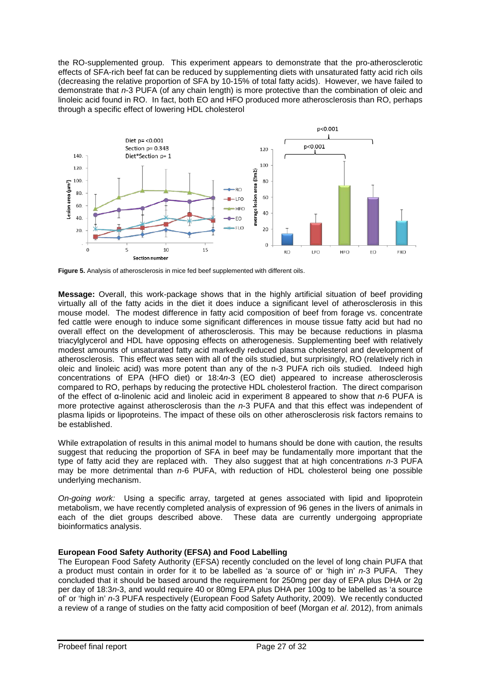the RO-supplemented group. This experiment appears to demonstrate that the pro-atherosclerotic effects of SFA-rich beef fat can be reduced by supplementing diets with unsaturated fatty acid rich oils (decreasing the relative proportion of SFA by 10-15% of total fatty acids). However, we have failed to demonstrate that *n*-3 PUFA (of any chain length) is more protective than the combination of oleic and linoleic acid found in RO. In fact, both EO and HFO produced more atherosclerosis than RO, perhaps through a specific effect of lowering HDL cholesterol



**Figure 5.** Analysis of atherosclerosis in mice fed beef supplemented with different oils.

**Message:** Overall, this work-package shows that in the highly artificial situation of beef providing virtually all of the fatty acids in the diet it does induce a significant level of atherosclerosis in this mouse model. The modest difference in fatty acid composition of beef from forage vs. concentrate fed cattle were enough to induce some significant differences in mouse tissue fatty acid but had no overall effect on the development of atherosclerosis. This may be because reductions in plasma triacylglycerol and HDL have opposing effects on atherogenesis. Supplementing beef with relatively modest amounts of unsaturated fatty acid markedly reduced plasma cholesterol and development of atherosclerosis. This effect was seen with all of the oils studied, but surprisingly, RO (relatively rich in oleic and linoleic acid) was more potent than any of the n-3 PUFA rich oils studied. Indeed high concentrations of EPA (HFO diet) or 18:4*n*-3 (EO diet) appeared to increase atherosclerosis compared to RO, perhaps by reducing the protective HDL cholesterol fraction. The direct comparison of the effect of α-linolenic acid and linoleic acid in experiment 8 appeared to show that *n*-6 PUFA is more protective against atherosclerosis than the *n*-3 PUFA and that this effect was independent of plasma lipids or lipoproteins. The impact of these oils on other atherosclerosis risk factors remains to be established.

While extrapolation of results in this animal model to humans should be done with caution, the results suggest that reducing the proportion of SFA in beef may be fundamentally more important that the type of fatty acid they are replaced with. They also suggest that at high concentrations *n*-3 PUFA may be more detrimental than *n*-6 PUFA, with reduction of HDL cholesterol being one possible underlying mechanism.

*On-going work:* Using a specific array, targeted at genes associated with lipid and lipoprotein metabolism, we have recently completed analysis of expression of 96 genes in the livers of animals in each of the diet groups described above. These data are currently undergoing appropriate bioinformatics analysis.

## **European Food Safety Authority (EFSA) and Food Labelling**

The European Food Safety Authority (EFSA) recently concluded on the level of long chain PUFA that a product must contain in order for it to be labelled as 'a source of' or 'high in' *n*-3 PUFA. They concluded that it should be based around the requirement for 250mg per day of EPA plus DHA or 2g per day of 18:3*n*-3, and would require 40 or 80mg EPA plus DHA per 100g to be labelled as 'a source of' or 'high in' *n*-3 PUFA respectively (European Food Safety Authority, 2009). We recently conducted a review of a range of studies on the fatty acid composition of beef (Morgan *et al*. 2012), from animals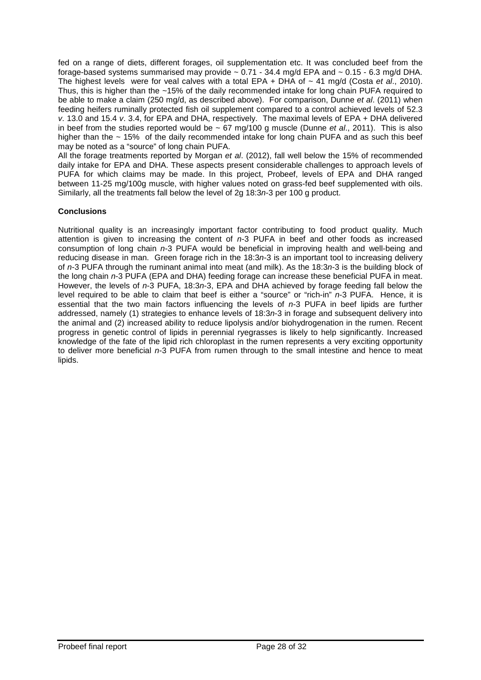fed on a range of diets, different forages, oil supplementation etc. It was concluded beef from the forage-based systems summarised may provide  $\sim 0.71 - 34.4$  mg/d EPA and  $\sim 0.15 - 6.3$  mg/d DHA. The highest levels were for veal calves with a total EPA + DHA of  $\sim$  41 mg/d (Costa *et al.*, 2010). Thus, this is higher than the ~15% of the daily recommended intake for long chain PUFA required to be able to make a claim (250 mg/d, as described above). For comparison, Dunne *et al*. (2011) when feeding heifers ruminally protected fish oil supplement compared to a control achieved levels of 52.3 *v*. 13.0 and 15.4 *v*. 3.4, for EPA and DHA, respectively. The maximal levels of EPA + DHA delivered in beef from the studies reported would be ~ 67 mg/100 g muscle (Dunne *et al*., 2011). This is also higher than the  $\sim$  15% of the daily recommended intake for long chain PUFA and as such this beef may be noted as a "source" of long chain PUFA.

All the forage treatments reported by Morgan *et al*. (2012), fall well below the 15% of recommended daily intake for EPA and DHA. These aspects present considerable challenges to approach levels of PUFA for which claims may be made. In this project, Probeef, levels of EPA and DHA ranged between 11-25 mg/100g muscle, with higher values noted on grass-fed beef supplemented with oils. Similarly, all the treatments fall below the level of 2g 18:3*n*-3 per 100 g product.

## **Conclusions**

Nutritional quality is an increasingly important factor contributing to food product quality. Much attention is given to increasing the content of *n*-3 PUFA in beef and other foods as increased consumption of long chain *n*-3 PUFA would be beneficial in improving health and well-being and reducing disease in man. Green forage rich in the 18:3*n*-3 is an important tool to increasing delivery of *n*-3 PUFA through the ruminant animal into meat (and milk). As the 18:3*n*-3 is the building block of the long chain *n*-3 PUFA (EPA and DHA) feeding forage can increase these beneficial PUFA in meat. However, the levels of *n*-3 PUFA, 18:3*n*-3, EPA and DHA achieved by forage feeding fall below the level required to be able to claim that beef is either a "source" or "rich-in" *n*-3 PUFA. Hence, it is essential that the two main factors influencing the levels of *n*-3 PUFA in beef lipids are further addressed, namely (1) strategies to enhance levels of 18:3*n*-3 in forage and subsequent delivery into the animal and (2) increased ability to reduce lipolysis and/or biohydrogenation in the rumen. Recent progress in genetic control of lipids in perennial ryegrasses is likely to help significantly. Increased knowledge of the fate of the lipid rich chloroplast in the rumen represents a very exciting opportunity to deliver more beneficial *n*-3 PUFA from rumen through to the small intestine and hence to meat lipids.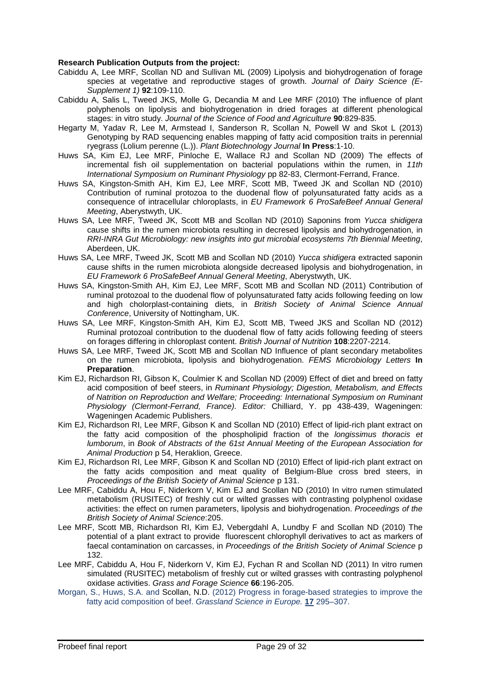#### **Research Publication Outputs from the project:**

- Cabiddu A, Lee MRF, Scollan ND and Sullivan ML (2009) Lipolysis and biohydrogenation of forage species at vegetative and reproductive stages of growth. *Journal of Dairy Science (E-Supplement 1)* **92**:109-110.
- Cabiddu A, Salis L, Tweed JKS, Molle G, Decandia M and Lee MRF (2010) The influence of plant polyphenols on lipolysis and biohydrogenation in dried forages at different phenological stages: in vitro study. *Journal of the Science of Food and Agriculture* **90**:829-835.
- Hegarty M, Yadav R, Lee M, Armstead I, Sanderson R, Scollan N, Powell W and Skot L (2013) Genotyping by RAD sequencing enables mapping of fatty acid composition traits in perennial ryegrass (Lolium perenne (L.)). *Plant Biotechnology Journal* **In Press**:1-10.
- Huws SA, Kim EJ, Lee MRF, Pinloche E, Wallace RJ and Scollan ND (2009) The effects of incremental fish oil supplementation on bacterial populations within the rumen, in *11th International Symposium on Ruminant Physiology* pp 82-83, Clermont-Ferrand, France.
- Huws SA, Kingston-Smith AH, Kim EJ, Lee MRF, Scott MB, Tweed JK and Scollan ND (2010) Contribution of ruminal protozoa to the duodenal flow of polyunsaturated fatty acids as a consequence of intracellular chloroplasts, in *EU Framework 6 ProSafeBeef Annual General Meeting*, Aberystwyth, UK.
- Huws SA, Lee MRF, Tweed JK, Scott MB and Scollan ND (2010) Saponins from *Yucca shidigera* cause shifts in the rumen microbiota resulting in decresed lipolysis and biohydrogenation, in *RRI-INRA Gut Microbiology: new insights into gut microbial ecosystems 7th Biennial Meeting*, Aberdeen, UK.
- Huws SA, Lee MRF, Tweed JK, Scott MB and Scollan ND (2010) *Yucca shidigera* extracted saponin cause shifts in the rumen microbiota alongside decreased lipolysis and biohydrogenation, in *EU Framework 6 ProSafeBeef Annual General Meeting*, Aberystwyth, UK.
- Huws SA, Kingston-Smith AH, Kim EJ, Lee MRF, Scott MB and Scollan ND (2011) Contribution of ruminal protozoal to the duodenal flow of polyunsaturated fatty acids following feeding on low and high cholorplast-containing diets, in *British Society of Animal Science Annual Conference*, University of Nottingham, UK.
- Huws SA, Lee MRF, Kingston-Smith AH, Kim EJ, Scott MB, Tweed JKS and Scollan ND (2012) Ruminal protozoal contribution to the duodenal flow of fatty acids following feeding of steers on forages differing in chloroplast content. *British Journal of Nutrition* **108**:2207-2214.
- Huws SA, Lee MRF, Tweed JK, Scott MB and Scollan ND Influence of plant secondary metabolites on the rumen microbiota, lipolysis and biohydrogenation. *FEMS Microbiology Letters* **In Preparation**.
- Kim EJ, Richardson RI, Gibson K, Coulmier K and Scollan ND (2009) Effect of diet and breed on fatty acid composition of beef steers, in *Ruminant Physiology; Digestion, Metabolism, and Effects of Natrition on Reproduction and Welfare; Proceeding: International Symposium on Ruminant Physiology (Clermont-Ferrand, France). Editor:* Chilliard, Y. pp 438-439, Wageningen: Wageningen Academic Publishers.
- Kim EJ, Richardson RI, Lee MRF, Gibson K and Scollan ND (2010) Effect of lipid-rich plant extract on the fatty acid composition of the phospholipid fraction of the *longissimus thoracis et lumborum*, in *Book of Abstracts of the 61st Annual Meeting of the European Association for Animal Production* p 54, Heraklion, Greece.
- Kim EJ, Richardson RI, Lee MRF, Gibson K and Scollan ND (2010) Effect of lipid-rich plant extract on the fatty acids composition and meat quality of Belgium-Blue cross bred steers, in *Proceedings of the British Society of Animal Science* p 131.
- Lee MRF, Cabiddu A, Hou F, Niderkorn V, Kim EJ and Scollan ND (2010) In vitro rumen stimulated metabolism (RUSITEC) of freshly cut or wilted grasses with contrasting polyphenol oxidase activities: the effect on rumen parameters, lipolysis and biohydrogenation. *Proceedings of the British Society of Animal Science*:205.
- Lee MRF, Scott MB, Richardson RI, Kim EJ, Vebergdahl A, Lundby F and Scollan ND (2010) The potential of a plant extract to provide fluorescent chlorophyll derivatives to act as markers of faecal contamination on carcasses, in *Proceedings of the British Society of Animal Science* p 132.
- Lee MRF, Cabiddu A, Hou F, Niderkorn V, Kim EJ, Fychan R and Scollan ND (2011) In vitro rumen simulated (RUSITEC) metabolism of freshly cut or wilted grasses with contrasting polyphenol oxidase activities. *Grass and Forage Science* **66**:196-205.
- Morgan, S., Huws, S.A. and Scollan, N.D. (2012) Progress in forage-based strategies to improve the fatty acid composition of beef. *Grassland Science in Europe.* **17** 295–307.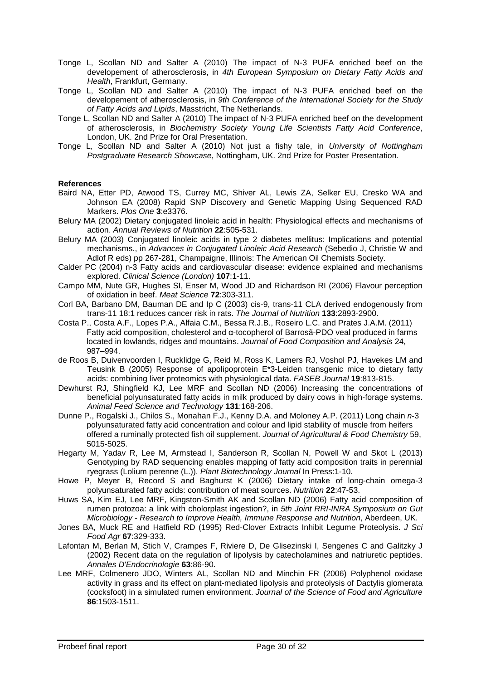- Tonge L, Scollan ND and Salter A (2010) The impact of N-3 PUFA enriched beef on the developement of atherosclerosis, in *4th European Symposium on Dietary Fatty Acids and Health*, Frankfurt, Germany.
- Tonge L, Scollan ND and Salter A (2010) The impact of N-3 PUFA enriched beef on the developement of atherosclerosis, in *9th Conference of the International Society for the Study of Fatty Acids and Lipids*, Masstricht, The Netherlands.
- Tonge L, Scollan ND and Salter A (2010) The impact of N-3 PUFA enriched beef on the development of atherosclerosis, in *Biochemistry Society Young Life Scientists Fatty Acid Conference*, London, UK. 2nd Prize for Oral Presentation.
- Tonge L, Scollan ND and Salter A (2010) Not just a fishy tale, in *University of Nottingham Postgraduate Research Showcase*, Nottingham, UK. 2nd Prize for Poster Presentation.

### **References**

- Baird NA, Etter PD, Atwood TS, Currey MC, Shiver AL, Lewis ZA, Selker EU, Cresko WA and Johnson EA (2008) Rapid SNP Discovery and Genetic Mapping Using Sequenced RAD Markers. *Plos One* **3**:e3376.
- Belury MA (2002) Dietary conjugated linoleic acid in health: Physiological effects and mechanisms of action. *Annual Reviews of Nutrition* **22**:505-531.
- Belury MA (2003) Conjugated linoleic acids in type 2 diabetes mellitus: Implications and potential mechanisms., in *Advances in Conjugated Linoleic Acid Research* (Sebedio J, Christie W and Adlof R eds) pp 267-281, Champaigne, Illinois: The American Oil Chemists Society.
- Calder PC (2004) n-3 Fatty acids and cardiovascular disease: evidence explained and mechanisms explored. *Clinical Science (London)* **107**:1-11.
- Campo MM, Nute GR, Hughes SI, Enser M, Wood JD and Richardson RI (2006) Flavour perception of oxidation in beef. *Meat Science* **72**:303-311.
- Corl BA, Barbano DM, Bauman DE and Ip C (2003) cis-9, trans-11 CLA derived endogenously from trans-11 18:1 reduces cancer risk in rats. *The Journal of Nutrition* **133**:2893-2900.
- Costa P., Costa A.F., Lopes P.A., Alfaia C.M., Bessa R.J.B., Roseiro L.C. and Prates J.A.M. (2011) Fatty acid composition, cholesterol and α-tocopherol of Barrosã-PDO veal produced in farms located in lowlands, ridges and mountains. *Journal of Food Composition and Analysis* 24, 987–994.
- de Roos B, Duivenvoorden I, Rucklidge G, Reid M, Ross K, Lamers RJ, Voshol PJ, Havekes LM and Teusink B (2005) Response of apolipoprotein E\*3-Leiden transgenic mice to dietary fatty acids: combining liver proteomics with physiological data. *FASEB Journal* **19**:813-815.
- Dewhurst RJ, Shingfield KJ, Lee MRF and Scollan ND (2006) Increasing the concentrations of beneficial polyunsaturated fatty acids in milk produced by dairy cows in high-forage systems. *Animal Feed Science and Technology* **131**:168-206.
- Dunne P., Rogalski J., Chilos S., Monahan F.J., Kenny D.A. and Moloney A.P. (2011) Long chain *n*-3 polyunsaturated fatty acid concentration and colour and lipid stability of muscle from heifers offered a ruminally protected fish oil supplement. *Journal of Agricultural & Food Chemistry* 59, 5015-5025.
- Hegarty M, Yadav R, Lee M, Armstead I, Sanderson R, Scollan N, Powell W and Skot L (2013) Genotyping by RAD sequencing enables mapping of fatty acid composition traits in perennial ryegrass (Lolium perenne (L.)). *Plant Biotechnology Journal* In Press:1-10.
- Howe P, Meyer B, Record S and Baghurst K (2006) Dietary intake of long-chain omega-3 polyunsaturated fatty acids: contribution of meat sources. *Nutrition* **22**:47-53.
- Huws SA, Kim EJ, Lee MRF, Kingston-Smith AK and Scollan ND (2006) Fatty acid composition of rumen protozoa: a link with cholorplast ingestion?, in *5th Joint RRI-INRA Symposium on Gut Microbiology - Research to Improve Health, Immune Response and Nutrition*, Aberdeen, UK.
- Jones BA, Muck RE and Hatfield RD (1995) Red-Clover Extracts Inhibit Legume Proteolysis. *J Sci Food Agr* **67**:329-333.
- Lafontan M, Berlan M, Stich V, Crampes F, Riviere D, De Glisezinski I, Sengenes C and Galitzky J (2002) Recent data on the regulation of lipolysis by catecholamines and natriuretic peptides. *Annales D'Endocrinologie* **63**:86-90.
- Lee MRF, Colmenero JDO, Winters AL, Scollan ND and Minchin FR (2006) Polyphenol oxidase activity in grass and its effect on plant-mediated lipolysis and proteolysis of Dactylis glomerata (cocksfoot) in a simulated rumen environment. *Journal of the Science of Food and Agriculture* **86**:1503-1511.